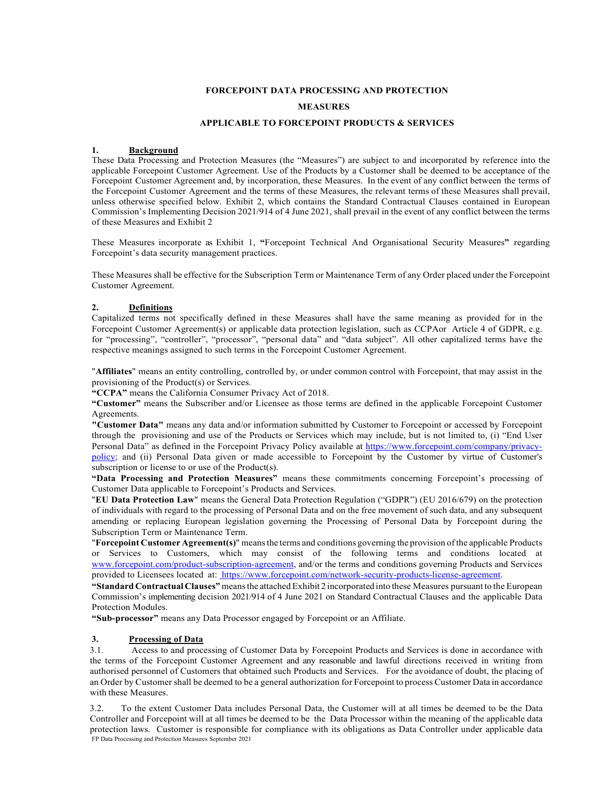## FORCEPOINT DATA PROCESSING AND PROTECTION

## MEASURES

## APPLICABLE TO FORCEPOINT PRODUCTS & SERVICES

## 1. Background

These Data Processing and Protection Measures (the "Measures") are subject to and incorporated by reference into the applicable Forcepoint Customer Agreement. Use of the Products by a Customer shall be deemed to be acceptance of the Forcepoint Customer Agreement and, by incorporation, these Measures. In the event of any conflict between the terms of the Forcepoint Customer Agreement and the terms of these Measures, the relevant terms of these Measures shall prevail, unless otherwise specified below. Exhibit 2, which contains the Standard Contractual Clauses contained in European Commission's Implementing Decision 2021/914 of 4 June 2021, shall prevail in the event of any conflict between the terms of these Measures and Exhibit 2

These Measures incorporate as Exhibit 1, "Forcepoint Technical And Organisational Security Measures" regarding Forcepoint's data security management practices.

These Measures shall be effective for the Subscription Term or Maintenance Term of any Order placed under the Forcepoint Customer Agreement.

# 2. Definitions

Capitalized terms not specifically defined in these Measures shall have the same meaning as provided for in the Forcepoint Customer Agreement(s) or applicable data protection legislation, such as CCPAor Article 4 of GDPR, e.g. for "processing", "controller", "processor", "personal data" and "data subject". All other capitalized terms have the respective meanings assigned to such terms in the Forcepoint Customer Agreement.

"Affiliates" means an entity controlling, controlled by, or under common control with Forcepoint, that may assist in the provisioning of the Product(s) or Services.

"CCPA" means the California Consumer Privacy Act of 2018.

"Customer" means the Subscriber and/or Licensee as those terms are defined in the applicable Forcepoint Customer Agreements.

"Customer Data" means any data and/or information submitted by Customer to Forcepoint or accessed by Forcepoint through the provisioning and use of the Products or Services which may include, but is not limited to, (i) "End User Personal Data" as defined in the Forcepoint Privacy Policy available at https://www.forcepoint.com/company/privacypolicy; and (ii) Personal Data given or made accessible to Forcepoint by the Customer by virtue of Customer's subscription or license to or use of the Product(s).

"Data Processing and Protection Measures" means these commitments concerning Forcepoint's processing of Customer Data applicable to Forcepoint's Products and Services.<br>"EU Data Protection Law" means the General Data Protection Regulation ("GDPR") (EU 2016/679) on the protection

of individuals with regard to the processing of Personal Data and on the free movement of such data, and any subsequent amending or replacing European legislation governing the Processing of Personal Data by Forcepoint during the Subscription Term or Maintenance Term.

"Forcepoint Customer Agreement(s)" means the terms and conditions governing the provision of the applicable Products or Services to Customers, which may consist of the following terms and conditions located at www.forcepoint.com/product-subscription-agreement, and/or the terms and conditions governing Products and Services provided to Licensees located at: https://www.forcepoint.com/network-security-products-license-agreement.

"Standard Contractual Clauses" means the attached Exhibit 2 incorporated into these Measures pursuant to the European Commission's implementing decision 2021/914 of 4 June 2021 on Standard Contractual Clauses and the applicable Data Protection Modules.

"Sub-processor" means any Data Processor engaged by Forcepoint or an Affiliate.

# 3. Processing of Data

3.1. Access to and processing of Customer Data by Forcepoint Products and Services is done in accordance with the terms of the Forcepoint Customer Agreement and any reasonable and lawful directions received in writing from authorised personnel of Customers that obtained such Products and Services. For the avoidance of doubt, the placing of an Order by Customer shall be deemed to be a general authorization for Forcepoint to process Customer Data in accordance with these Measures.

FP Data Processing and Protection Measures September 2021 3.2. To the extent Customer Data includes Personal Data, the Customer will at all times be deemed to be the Data Controller and Forcepoint will at all times be deemed to be the Data Processor within the meaning of the applicable data protection laws. Customer is responsible for compliance with its obligations as Data Controller under applicable data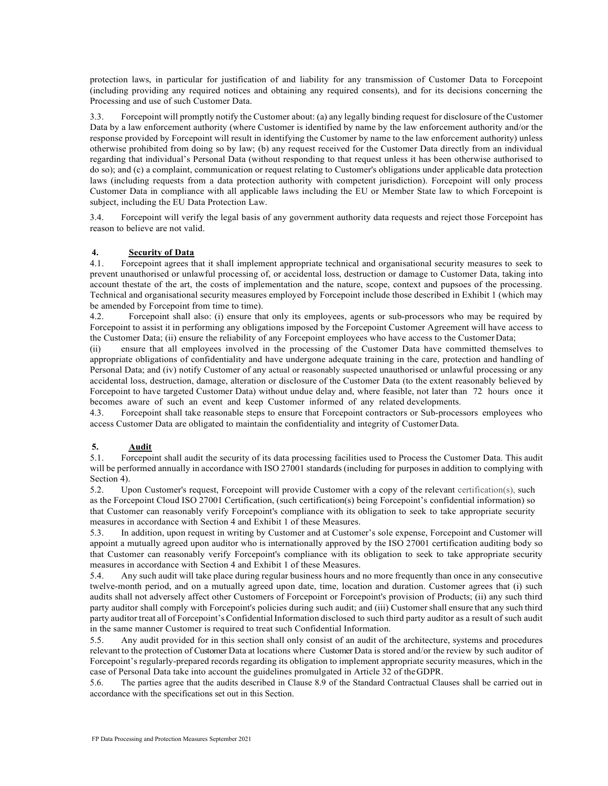protection laws, in particular for justification of and liability for any transmission of Customer Data to Forcepoint (including providing any required notices and obtaining any required consents), and for its decisions concerning the Processing and use of such Customer Data.

3.3. Forcepoint will promptly notify the Customer about: (a) any legally binding request for disclosure of the Customer Data by a law enforcement authority (where Customer is identified by name by the law enforcement authority and/or the response provided by Forcepoint will result in identifying the Customer by name to the law enforcement authority) unless otherwise prohibited from doing so by law; (b) any request received for the Customer Data directly from an individual regarding that individual's Personal Data (without responding to that request unless it has been otherwise authorised to do so); and (c) a complaint, communication or request relating to Customer's obligations under applicable data protection laws (including requests from a data protection authority with competent jurisdiction). Forcepoint will only process Customer Data in compliance with all applicable laws including the EU or Member State law to which Forcepoint is subject, including the EU Data Protection Law.

3.4. Forcepoint will verify the legal basis of any government authority data requests and reject those Forcepoint has reason to believe are not valid.

# 4. Security of Data

4.1. Forcepoint agrees that it shall implement appropriate technical and organisational security measures to seek to prevent unauthorised or unlawful processing of, or accidental loss, destruction or damage to Customer Data, taking into account thestate of the art, the costs of implementation and the nature, scope, context and pupsoes of the processing. Technical and organisational security measures employed by Forcepoint include those described in Exhibit 1 (which may be amended by Forcepoint from time to time).

4.2. Forcepoint shall also: (i) ensure that only its employees, agents or sub-processors who may be required by Forcepoint to assist it in performing any obligations imposed by the Forcepoint Customer Agreement will have access to the Customer Data; (ii) ensure the reliability of any Forcepoint employees who have access to the Customer Data;

(ii) ensure that all employees involved in the processing of the Customer Data have committed themselves to appropriate obligations of confidentiality and have undergone adequate training in the care, protection and handling of Personal Data; and (iv) notify Customer of any actual or reasonably suspected unauthorised or unlawful processing or any accidental loss, destruction, damage, alteration or disclosure of the Customer Data (to the extent reasonably believed by Forcepoint to have targeted Customer Data) without undue delay and, where feasible, not later than 72 hours once it becomes aware of such an event and keep Customer informed of any related developments.

4.3. Forcepoint shall take reasonable steps to ensure that Forcepoint contractors or Sub-processors employees who access Customer Data are obligated to maintain the confidentiality and integrity of Customer Data.

# 5. Audit

5.1. Forcepoint shall audit the security of its data processing facilities used to Process the Customer Data. This audit will be performed annually in accordance with ISO 27001 standards (including for purposes in addition to complying with Section 4).

5.2. Upon Customer's request, Forcepoint will provide Customer with a copy of the relevant certification(s), such as the Forcepoint Cloud ISO 27001 Certification, (such certification(s) being Forcepoint's confidential information) so that Customer can reasonably verify Forcepoint's compliance with its obligation to seek to take appropriate security measures in accordance with Section 4 and Exhibit 1 of these Measures.

5.3. In addition, upon request in writing by Customer and at Customer's sole expense, Forcepoint and Customer will appoint a mutually agreed upon auditor who is internationally approved by the ISO 27001 certification auditing body so that Customer can reasonably verify Forcepoint's compliance with its obligation to seek to take appropriate security measures in accordance with Section 4 and Exhibit 1 of these Measures.

5.4. Any such audit will take place during regular business hours and no more frequently than once in any consecutive twelve-month period, and on a mutually agreed upon date, time, location and duration. Customer agrees that (i) such audits shall not adversely affect other Customers of Forcepoint or Forcepoint's provision of Products; (ii) any such third party auditor shall comply with Forcepoint's policies during such audit; and (iii) Customer shall ensure that any such third party auditor treat all of Forcepoint's Confidential Information disclosed to such third party auditor as a result of such audit in the same manner Customer is required to treat such Confidential Information.

5.5. Any audit provided for in this section shall only consist of an audit of the architecture, systems and procedures relevant to the protection of Customer Data at locations where Customer Data is stored and/or the review by such auditor of Forcepoint's regularly-prepared records regarding its obligation to implement appropriate security measures, which in the case of Personal Data take into account the guidelines promulgated in Article 32 of the GDPR.

5.6. The parties agree that the audits described in Clause 8.9 of the Standard Contractual Clauses shall be carried out in accordance with the specifications set out in this Section.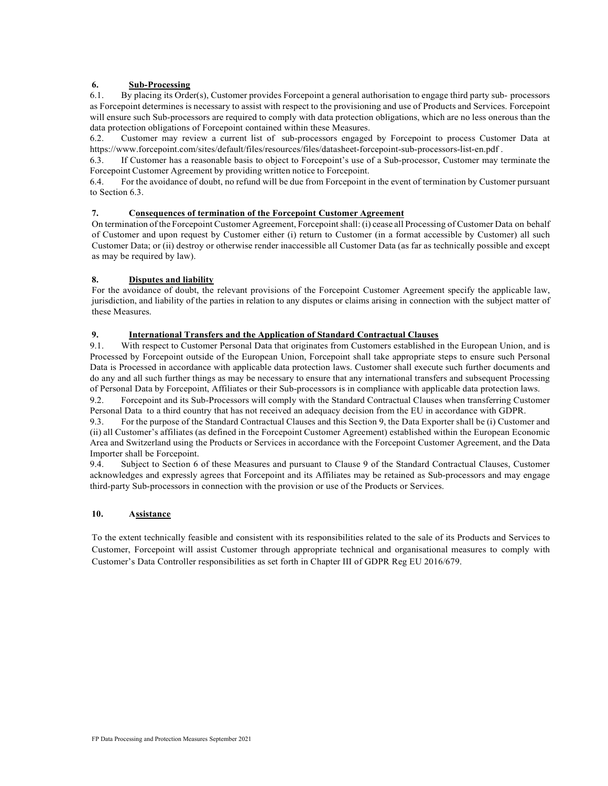# 6. Sub-Processing

6.1. By placing its Order(s), Customer provides Forcepoint a general authorisation to engage third party sub- processors as Forcepoint determines is necessary to assist with respect to the provisioning and use of Products and Services. Forcepoint will ensure such Sub-processors are required to comply with data protection obligations, which are no less onerous than the data protection obligations of Forcepoint contained within these Measures.

6.2. Customer may review a current list of sub-processors engaged by Forcepoint to process Customer Data at https://www.forcepoint.com/sites/default/files/resources/files/datasheet-forcepoint-sub-processors-list-en.pdf .

6.3. If Customer has a reasonable basis to object to Forcepoint's use of a Sub-processor, Customer may terminate the Forcepoint Customer Agreement by providing written notice to Forcepoint.

6.4. For the avoidance of doubt, no refund will be due from Forcepoint in the event of termination by Customer pursuant to Section 6.3.

# 7. Consequences of termination of the Forcepoint Customer Agreement

On termination of the Forcepoint Customer Agreement, Forcepoint shall: (i) cease all Processing of Customer Data on behalf of Customer and upon request by Customer either (i) return to Customer (in a format accessible by Customer) all such Customer Data; or (ii) destroy or otherwise render inaccessible all Customer Data (as far as technically possible and except as may be required by law).

# 8. Disputes and liability

For the avoidance of doubt, the relevant provisions of the Forcepoint Customer Agreement specify the applicable law, jurisdiction, and liability of the parties in relation to any disputes or claims arising in connection with the subject matter of these Measures.

# 9. International Transfers and the Application of Standard Contractual Clauses

9.1. With respect to Customer Personal Data that originates from Customers established in the European Union, and is Processed by Forcepoint outside of the European Union, Forcepoint shall take appropriate steps to ensure such Personal Data is Processed in accordance with applicable data protection laws. Customer shall execute such further documents and do any and all such further things as may be necessary to ensure that any international transfers and subsequent Processing of Personal Data by Forcepoint, Affiliates or their Sub-processors is in compliance with applicable data protection laws.

9.2. Forcepoint and its Sub-Processors will comply with the Standard Contractual Clauses when transferring Customer Personal Data to a third country that has not received an adequacy decision from the EU in accordance with GDPR.

9.3. For the purpose of the Standard Contractual Clauses and this Section 9, the Data Exporter shall be (i) Customer and (ii) all Customer's affiliates (as defined in the Forcepoint Customer Agreement) established within the European Economic Area and Switzerland using the Products or Services in accordance with the Forcepoint Customer Agreement, and the Data Importer shall be Forcepoint.

9.4. Subject to Section 6 of these Measures and pursuant to Clause 9 of the Standard Contractual Clauses, Customer acknowledges and expressly agrees that Forcepoint and its Affiliates may be retained as Sub-processors and may engage third-party Sub-processors in connection with the provision or use of the Products or Services.

# 10. Assistance

To the extent technically feasible and consistent with its responsibilities related to the sale of its Products and Services to Customer, Forcepoint will assist Customer through appropriate technical and organisational measures to comply with Customer's Data Controller responsibilities as set forth in Chapter III of GDPR Reg EU 2016/679.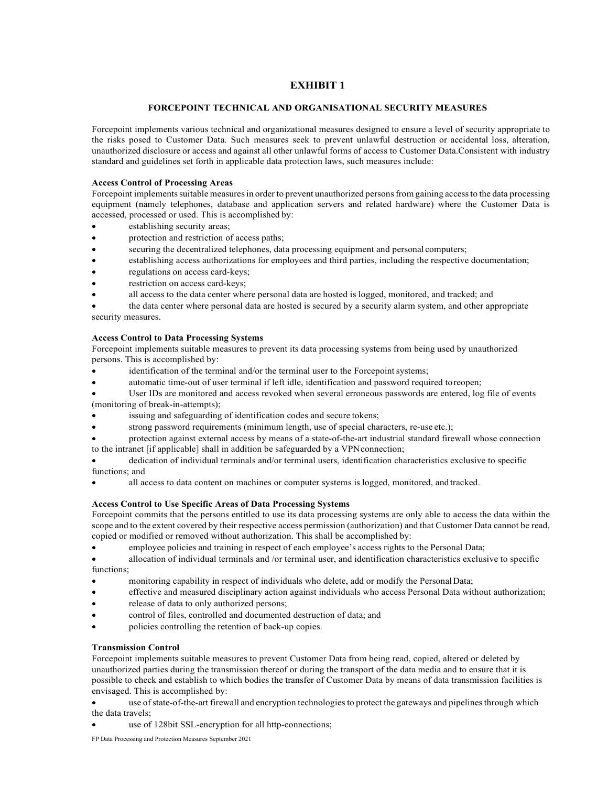# EXHIBIT 1

# FORCEPOINT TECHNICAL AND ORGANISATIONAL SECURITY MEASURES

Forcepoint implements various technical and organizational measures designed to ensure a level of security appropriate to the risks posed to Customer Data. Such measures seek to prevent unlawful destruction or accidental loss, alteration, unauthorized disclosure or access and against all other unlawful forms of access to Customer Data.Consistent with industry standard and guidelines set forth in applicable data protection laws, such measures include:

# Access Control of Processing Areas

Forcepoint implements suitable measures in order to prevent unauthorized persons from gaining access to the data processing equipment (namely telephones, database and application servers and related hardware) where the Customer Data is accessed, processed or used. This is accomplished by:

- establishing security areas;
- protection and restriction of access paths;
- securing the decentralized telephones, data processing equipment and personal computers;
- establishing access authorizations for employees and third parties, including the respective documentation;
- regulations on access card-keys;
- restriction on access card-keys;
- all access to the data center where personal data are hosted is logged, monitored, and tracked; and

 the data center where personal data are hosted is secured by a security alarm system, and other appropriate security measures.

# Access Control to Data Processing Systems

Forcepoint implements suitable measures to prevent its data processing systems from being used by unauthorized persons. This is accomplished by:

- identification of the terminal and/or the terminal user to the Forcepoint systems;
- automatic time-out of user terminal if left idle, identification and password required to reopen;

 User IDs are monitored and access revoked when several erroneous passwords are entered, log file of events (monitoring of break-in-attempts);

- issuing and safeguarding of identification codes and secure tokens;
- strong password requirements (minimum length, use of special characters, re-use etc.);

 protection against external access by means of a state-of-the-art industrial standard firewall whose connection to the intranet [if applicable] shall in addition be safeguarded by a VPN connection;

 dedication of individual terminals and/or terminal users, identification characteristics exclusive to specific functions; and

all access to data content on machines or computer systems is logged, monitored, and tracked.

# Access Control to Use Specific Areas of Data Processing Systems

Forcepoint commits that the persons entitled to use its data processing systems are only able to access the data within the scope and to the extent covered by their respective access permission (authorization) and that Customer Data cannot be read, copied or modified or removed without authorization. This shall be accomplished by:

employee policies and training in respect of each employee's access rights to the Personal Data;

 allocation of individual terminals and /or terminal user, and identification characteristics exclusive to specific functions;

- monitoring capability in respect of individuals who delete, add or modify the Personal Data;
- effective and measured disciplinary action against individuals who access Personal Data without authorization;
- release of data to only authorized persons;
- control of files, controlled and documented destruction of data; and
- policies controlling the retention of back-up copies.

# Transmission Control

Forcepoint implements suitable measures to prevent Customer Data from being read, copied, altered or deleted by unauthorized parties during the transmission thereof or during the transport of the data media and to ensure that it is possible to check and establish to which bodies the transfer of Customer Data by means of data transmission facilities is envisaged. This is accomplished by:

 use of state-of-the-art firewall and encryption technologies to protect the gateways and pipelines through which the data travels;

use of 128bit SSL-encryption for all http-connections;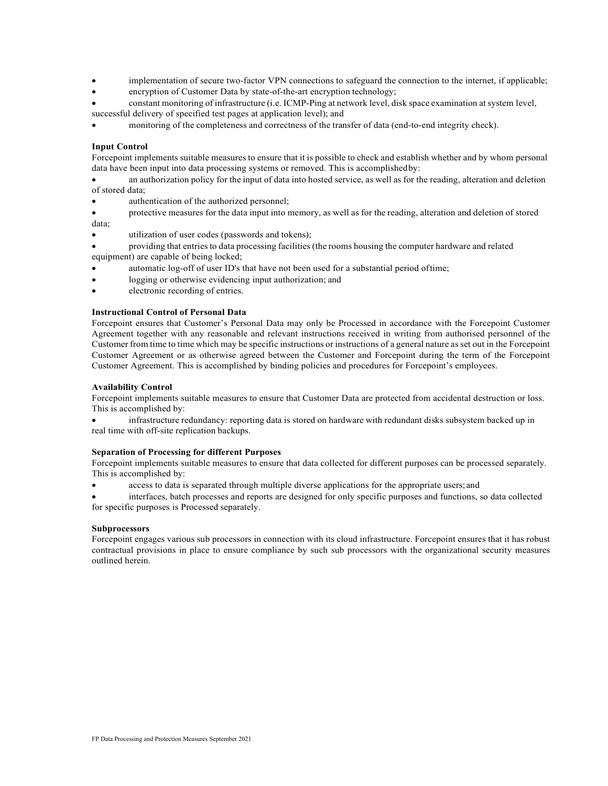- implementation of secure two-factor VPN connections to safeguard the connection to the internet, if applicable;
- encryption of Customer Data by state-of-the-art encryption technology;

 constant monitoring of infrastructure (i.e. ICMP-Ping at network level, disk space examination at system level, successful delivery of specified test pages at application level); and

monitoring of the completeness and correctness of the transfer of data (end-to-end integrity check).

# Input Control

Forcepoint implements suitable measures to ensure that it is possible to check and establish whether and by whom personal data have been input into data processing systems or removed. This is accomplished by:

 an authorization policy for the input of data into hosted service, as well as for the reading, alteration and deletion of stored data;

- authentication of the authorized personnel;
- protective measures for the data input into memory, as well as for the reading, alteration and deletion of stored data;
- utilization of user codes (passwords and tokens);
- providing that entries to data processing facilities (the rooms housing the computer hardware and related
- equipment) are capable of being locked;
- automatic log-off of user ID's that have not been used for a substantial period of time;
- logging or otherwise evidencing input authorization; and
- electronic recording of entries.

# Instructional Control of Personal Data

Forcepoint ensures that Customer's Personal Data may only be Processed in accordance with the Forcepoint Customer Agreement together with any reasonable and relevant instructions received in writing from authorised personnel of the Customer from time to time which may be specific instructions or instructions of a general nature as set out in the Forcepoint Customer Agreement or as otherwise agreed between the Customer and Forcepoint during the term of the Forcepoint Customer Agreement. This is accomplished by binding policies and procedures for Forcepoint's employees.

# Availability Control

Forcepoint implements suitable measures to ensure that Customer Data are protected from accidental destruction or loss. This is accomplished by:

 infrastructure redundancy: reporting data is stored on hardware with redundant disks subsystem backed up in real time with off-site replication backups.

## Separation of Processing for different Purposes

Forcepoint implements suitable measures to ensure that data collected for different purposes can be processed separately. This is accomplished by:

access to data is separated through multiple diverse applications for the appropriate users; and

 interfaces, batch processes and reports are designed for only specific purposes and functions, so data collected for specific purposes is Processed separately.

## Subprocessors

Forcepoint engages various sub processors in connection with its cloud infrastructure. Forcepoint ensures that it has robust contractual provisions in place to ensure compliance by such sub processors with the organizational security measures outlined herein.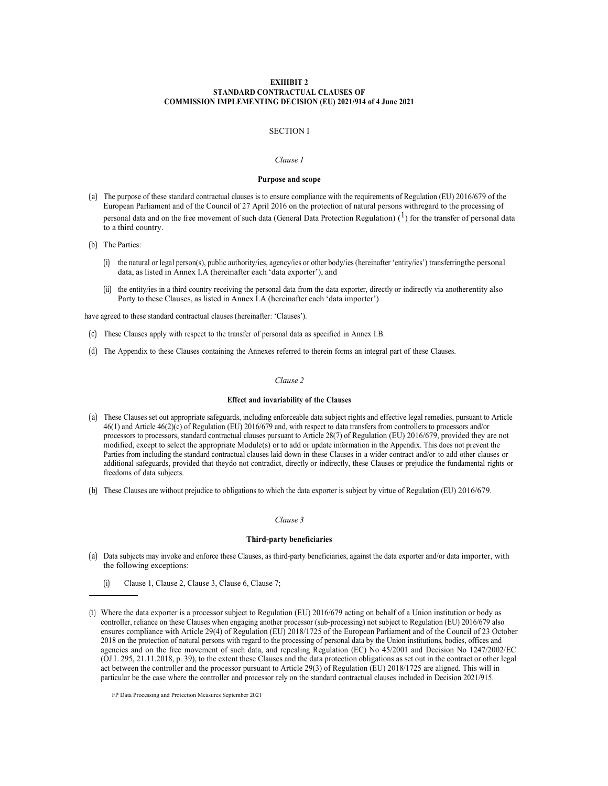#### EXHIBIT 2 STANDARD CONTRACTUAL CLAUSES OF COMMISSION IMPLEMENTING DECISION (EU) 2021/914 of 4 June 2021

## SECTION I

## Clause 1

## Purpose and scope

- (a) The purpose of these standard contractual clauses is to ensure compliance with the requirements of Regulation (EU) 2016/679 of the European Parliament and of the Council of 27 April 2016 on the protection of natural persons with regard to the processing of personal data and on the free movement of such data (General Data Protection Regulation)  $(1)$  for the transfer of personal data to a third country.
- (b) The Parties:
	- (i) the natural or legal person(s), public authority/ies, agency/ies or other body/ies (hereinafter 'entity/ies') transferring the personal data, as listed in Annex I.A (hereinafter each 'data exporter'), and
	- (ii) the entity/ies in a third country receiving the personal data from the data exporter, directly or indirectly via another entity also Party to these Clauses, as listed in Annex I.A (hereinafter each 'data importer')

have agreed to these standard contractual clauses (hereinafter: 'Clauses').

- (c) These Clauses apply with respect to the transfer of personal data as specified in Annex I.B.
- (d) The Appendix to these Clauses containing the Annexes referred to therein forms an integral part of these Clauses.

#### Clause 2

#### Effect and invariability of the Clauses

- (a) These Clauses set out appropriate safeguards, including enforceable data subject rights and effective legal remedies, pursuant to Article 46(1) and Article 46(2)(c) of Regulation (EU) 2016/679 and, with respect to data transfers from controllers to processors and/or processors to processors, standard contractual clauses pursuant to Article 28(7) of Regulation (EU) 2016/679, provided they are not modified, except to select the appropriate Module(s) or to add or update information in the Appendix. This does not prevent the Parties from including the standard contractual clauses laid down in these Clauses in a wider contract and/or to add other clauses or additional safeguards, provided that theydo not contradict, directly or indirectly, these Clauses or prejudice the fundamental rights or freedoms of data subjects.
- (b) These Clauses are without prejudice to obligations to which the data exporter is subject by virtue of Regulation (EU) 2016/679.

#### Clause 3

#### Third-party beneficiaries

- (a) Data subjects may invoke and enforce these Clauses, as third-party beneficiaries, against the data exporter and/or data importer, with the following exceptions:
	- (i) Clause 1, Clause 2, Clause 3, Clause 6, Clause 7;

<sup>(1)</sup> Where the data exporter is a processor subject to Regulation (EU) 2016/679 acting on behalf of a Union institution or body as controller, reliance on these Clauses when engaging another processor (sub-processing) not subject to Regulation (EU) 2016/679 also ensures compliance with Article 29(4) of Regulation (EU) 2018/1725 of the European Parliament and of the Council of 23 October 2018 on the protection of natural persons with regard to the processing of personal data by the Union institutions, bodies, offices and agencies and on the free movement of such data, and repealing Regulation (EC) No 45/2001 and Decision No 1247/2002/EC (OJ L 295, 21.11.2018, p. 39), to the extent these Clauses and the data protection obligations as set out in the contract or other legal act between the controller and the processor pursuant to Article 29(3) of Regulation (EU) 2018/1725 are aligned. This will in particular be the case where the controller and processor rely on the standard contractual clauses included in Decision 2021/915.

FP Data Processing and Protection Measures September 2021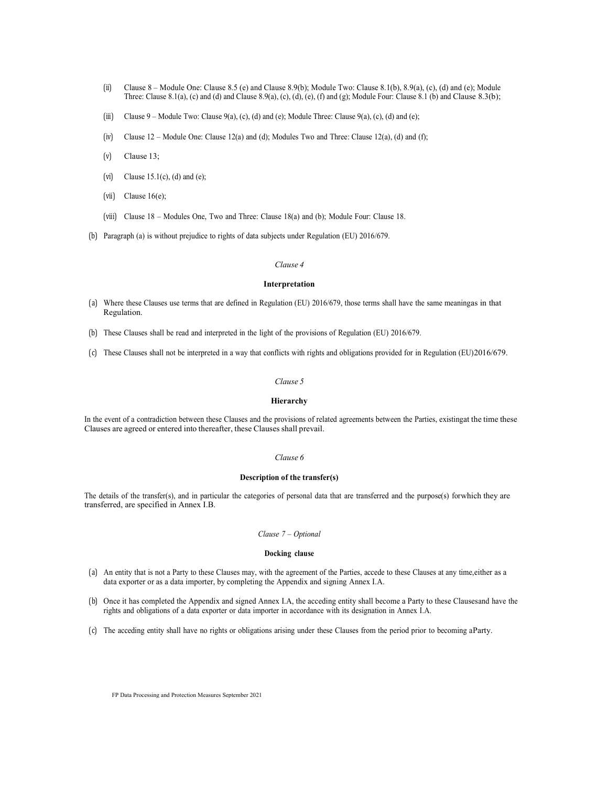- (ii) Clause 8 Module One: Clause 8.5 (e) and Clause 8.9(b); Module Two: Clause 8.1(b), 8.9(a), (c), (d) and (e); Module Three: Clause 8.1(a), (c) and (d) and Clause 8.9(a), (c), (d), (e), (f) and (g); Module Four: Clause 8.1 (b) and Clause 8.3(b);
- (iii) Clause  $9$  Module Two: Clause  $9(a)$ , (c), (d) and (e); Module Three: Clause  $9(a)$ , (c), (d) and (e);
- (iv) Clause  $12 -$  Module One: Clause  $12(a)$  and (d); Modules Two and Three: Clause  $12(a)$ , (d) and (f);
- (v) Clause 13;
- (vi) Clause  $15.1(c)$ , (d) and (e);
- (vii) Clause  $16(e)$ ;
- (viii) Clause 18 Modules One, Two and Three: Clause 18(a) and (b); Module Four: Clause 18.
- (b) Paragraph (a) is without prejudice to rights of data subjects under Regulation (EU) 2016/679.

## Interpretation

- (a) Where these Clauses use terms that are defined in Regulation (EU) 2016/679, those terms shall have the same meaning as in that Regulation.
- (b) These Clauses shall be read and interpreted in the light of the provisions of Regulation (EU) 2016/679.
- (c) These Clauses shall not be interpreted in a way that conflicts with rights and obligations provided for in Regulation (EU) 2016/679.

#### Clause 5

#### Hierarchy

In the event of a contradiction between these Clauses and the provisions of related agreements between the Parties, existing at the time these Clauses are agreed or entered into thereafter, these Clauses shall prevail.

#### Clause 6

### Description of the transfer(s)

The details of the transfer(s), and in particular the categories of personal data that are transferred and the purpose(s) for which they are transferred, are specified in Annex I.B.

#### Clause 7 – Optional

#### Docking clause

- (a) An entity that is not a Party to these Clauses may, with the agreement of the Parties, accede to these Clauses at any time, either as a data exporter or as a data importer, by completing the Appendix and signing Annex I.A.
- (b) Once it has completed the Appendix and signed Annex I.A, the acceding entity shall become a Party to these Clauses and have the rights and obligations of a data exporter or data importer in accordance with its designation in Annex I.A.
- (c) The acceding entity shall have no rights or obligations arising under these Clauses from the period prior to becoming a Party.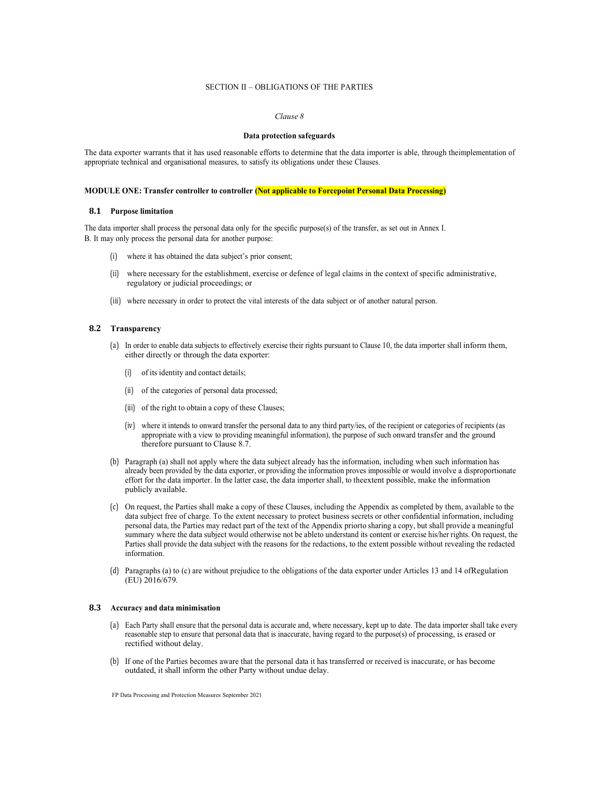## SECTION II – OBLIGATIONS OF THE PARTIES

#### Clause 8

#### Data protection safeguards

The data exporter warrants that it has used reasonable efforts to determine that the data importer is able, through the implementation of appropriate technical and organisational measures, to satisfy its obligations under these Clauses.

#### MODULE ONE: Transfer controller to controller (Not applicable to Forcepoint Personal Data Processing)

# 8.1 Purpose limitation

The data importer shall process the personal data only for the specific purpose(s) of the transfer, as set out in Annex I. B. It may only process the personal data for another purpose:

- (i) where it has obtained the data subject's prior consent;
- (ii) where necessary for the establishment, exercise or defence of legal claims in the context of specific administrative, regulatory or judicial proceedings; or
- (iii) where necessary in order to protect the vital interests of the data subject or of another natural person.

## 8.2 Transparency

- (a) In order to enable data subjects to effectively exercise their rights pursuant to Clause 10, the data importer shall inform them, either directly or through the data exporter:
	- (i) of its identity and contact details;
	- (ii) of the categories of personal data processed;
	- (iii) of the right to obtain a copy of these Clauses;
	- (iv) where it intends to onward transfer the personal data to any third party/ies, of the recipient or categories of recipients (as appropriate with a view to providing meaningful information), the purpose of such onward transfer and the ground therefore pursuant to Clause 8.7.
- (b) Paragraph (a) shall not apply where the data subject already has the information, including when such information has already been provided by the data exporter, or providing the information proves impossible or would involve a disproportionate effort for the data importer. In the latter case, the data importer shall, to the extent possible, make the information publicly available.
- (c) On request, the Parties shall make a copy of these Clauses, including the Appendix as completed by them, available to the data subject free of charge. To the extent necessary to protect business secrets or other confidential information, including personal data, the Parties may redact part of the text of the Appendix prior to sharing a copy, but shall provide a meaningful summary where the data subject would otherwise not be able to understand its content or exercise his/her rights. On request, the Parties shall provide the data subject with the reasons for the redactions, to the extent possible without revealing the redacted information.
- (d) Paragraphs (a) to (c) are without prejudice to the obligations of the data exporter under Articles 13 and 14 of Regulation (EU) 2016/679.

## 8.3 Accuracy and data minimisation

- (a) Each Party shall ensure that the personal data is accurate and, where necessary, kept up to date. The data importer shall take every reasonable step to ensure that personal data that is inaccurate, having regard to the purpose(s) of processing, is erased or rectified without delay.
- (b) If one of the Parties becomes aware that the personal data it has transferred or received is inaccurate, or has become outdated, it shall inform the other Party without undue delay.

FP Data Processing and Protection Measures September 2021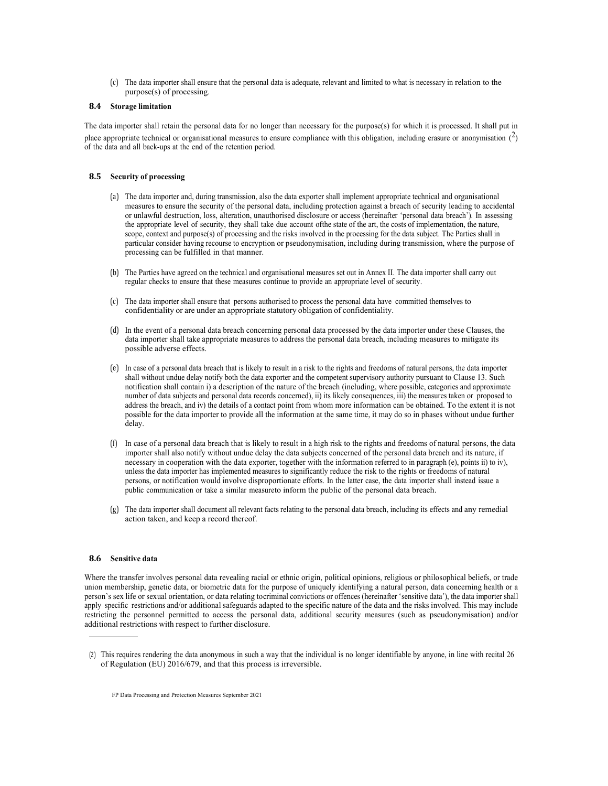(c) The data importer shall ensure that the personal data is adequate, relevant and limited to what is necessary in relation to the purpose(s) of processing.

## 8.4 Storage limitation

The data importer shall retain the personal data for no longer than necessary for the purpose(s) for which it is processed. It shall put in place appropriate technical or organisational measures to ensure compliance with this obligation, including erasure or anonymisation  $\binom{2}{1}$ of the data and all back-ups at the end of the retention period.

## 8.5 Security of processing

- (a) The data importer and, during transmission, also the data exporter shall implement appropriate technical and organisational measures to ensure the security of the personal data, including protection against a breach of security leading to accidental or unlawful destruction, loss, alteration, unauthorised disclosure or access (hereinafter 'personal data breach'). In assessing the appropriate level of security, they shall take due account of the state of the art, the costs of implementation, the nature, scope, context and purpose(s) of processing and the risks involved in the processing for the data subject. The Parties shall in particular consider having recourse to encryption or pseudonymisation, including during transmission, where the purpose of processing can be fulfilled in that manner.
- (b) The Parties have agreed on the technical and organisational measures set out in Annex II. The data importer shall carry out regular checks to ensure that these measures continue to provide an appropriate level of security.
- (c) The data importer shall ensure that persons authorised to process the personal data have committed themselves to confidentiality or are under an appropriate statutory obligation of confidentiality.
- (d) In the event of a personal data breach concerning personal data processed by the data importer under these Clauses, the data importer shall take appropriate measures to address the personal data breach, including measures to mitigate its possible adverse effects.
- (e) In case of a personal data breach that is likely to result in a risk to the rights and freedoms of natural persons, the data importer shall without undue delay notify both the data exporter and the competent supervisory authority pursuant to Clause 13. Such notification shall contain i) a description of the nature of the breach (including, where possible, categories and approximate number of data subjects and personal data records concerned), ii) its likely consequences, iii) the measures taken or proposed to address the breach, and iv) the details of a contact point from whom more information can be obtained. To the extent it is not possible for the data importer to provide all the information at the same time, it may do so in phases without undue further delay.
- (f) In case of a personal data breach that is likely to result in a high risk to the rights and freedoms of natural persons, the data importer shall also notify without undue delay the data subjects concerned of the personal data breach and its nature, if necessary in cooperation with the data exporter, together with the information referred to in paragraph (e), points ii) to iv), unless the data importer has implemented measures to significantly reduce the risk to the rights or freedoms of natural persons, or notification would involve disproportionate efforts. In the latter case, the data importer shall instead issue a public communication or take a similar measure to inform the public of the personal data breach.
- (g) The data importer shall document all relevant facts relating to the personal data breach, including its effects and any remedial action taken, and keep a record thereof.

## 8.6 Sensitive data

Where the transfer involves personal data revealing racial or ethnic origin, political opinions, religious or philosophical beliefs, or trade union membership, genetic data, or biometric data for the purpose of uniquely identifying a natural person, data concerning health or a person's sex life or sexual orientation, or data relating to criminal convictions or offences (hereinafter 'sensitive data'), the data importer shall apply specific restrictions and/or additional safeguards adapted to the specific nature of the data and the risks involved. This may include restricting the personnel permitted to access the personal data, additional security measures (such as pseudonymisation) and/or additional restrictions with respect to further disclosure.

<sup>(2)</sup> This requires rendering the data anonymous in such a way that the individual is no longer identifiable by anyone, in line with recital 26 of Regulation (EU) 2016/679, and that this process is irreversible.

FP Data Processing and Protection Measures September 2021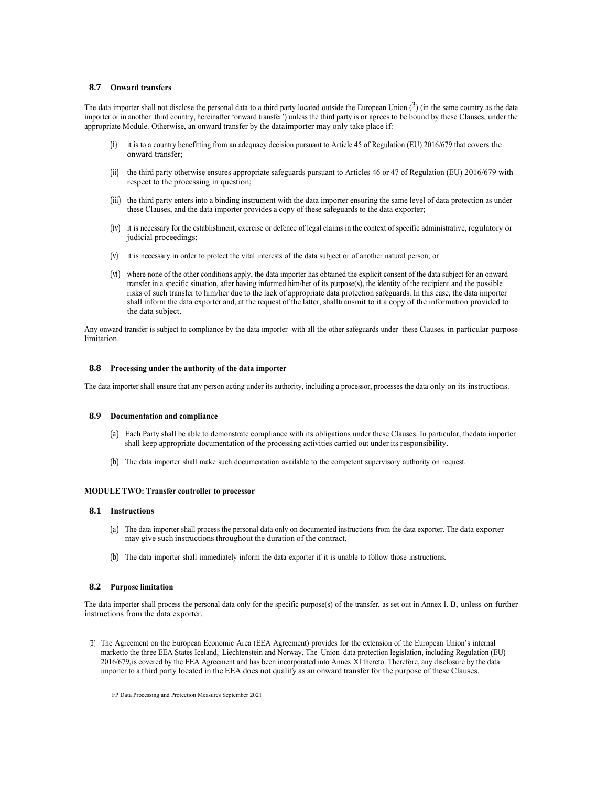## 8.7 Onward transfers

The data importer shall not disclose the personal data to a third party located outside the European Union  $(3)$  (in the same country as the data importer or in another third country, hereinafter 'onward transfer') unless the third party is or agrees to be bound by these Clauses, under the appropriate Module. Otherwise, an onward transfer by the data importer may only take place if:

- (i) it is to a country benefitting from an adequacy decision pursuant to Article 45 of Regulation (EU) 2016/679 that covers the onward transfer;
- (ii) the third party otherwise ensures appropriate safeguards pursuant to Articles 46 or 47 of Regulation (EU) 2016/679 with respect to the processing in question;
- (iii) the third party enters into a binding instrument with the data importer ensuring the same level of data protection as under these Clauses, and the data importer provides a copy of these safeguards to the data exporter;
- (iv) it is necessary for the establishment, exercise or defence of legal claims in the context of specific administrative, regulatory or judicial proceedings;
- (v) it is necessary in order to protect the vital interests of the data subject or of another natural person; or
- (vi) where none of the other conditions apply, the data importer has obtained the explicit consent of the data subject for an onward transfer in a specific situation, after having informed him/her of its purpose(s), the identity of the recipient and the possible risks of such transfer to him/her due to the lack of appropriate data protection safeguards. In this case, the data importer shall inform the data exporter and, at the request of the latter, shall transmit to it a copy of the information provided to the data subject.

Any onward transfer is subject to compliance by the data importer with all the other safeguards under these Clauses, in particular purpose limitation.

#### 8.8 Processing under the authority of the data importer

The data importer shall ensure that any person acting under its authority, including a processor, processes the data only on its instructions.

#### 8.9 Documentation and compliance

- (a) Each Party shall be able to demonstrate compliance with its obligations under these Clauses. In particular, the data importer shall keep appropriate documentation of the processing activities carried out under its responsibility.
- (b) The data importer shall make such documentation available to the competent supervisory authority on request.

# MODULE TWO: Transfer controller to processor

#### 8.1 Instructions

- (a) The data importer shall process the personal data only on documented instructions from the data exporter. The data exporter may give such instructions throughout the duration of the contract.
- (b) The data importer shall immediately inform the data exporter if it is unable to follow those instructions.

### 8.2 Purpose limitation

The data importer shall process the personal data only for the specific purpose(s) of the transfer, as set out in Annex I. B, unless on further instructions from the data exporter.

<sup>(3)</sup> The Agreement on the European Economic Area (EEA Agreement) provides for the extension of the European Union's internal marketto the three EEA States Iceland, Liechtenstein and Norway. The Union data protection legislation, including Regulation (EU) 2016/679, is covered by the EEA Agreement and has been incorporated into Annex XI thereto. Therefore, any disclosure by the data importer to a third party located in the EEA does not qualify as an onward transfer for the purpose of these Clauses.

FP Data Processing and Protection Measures September 2021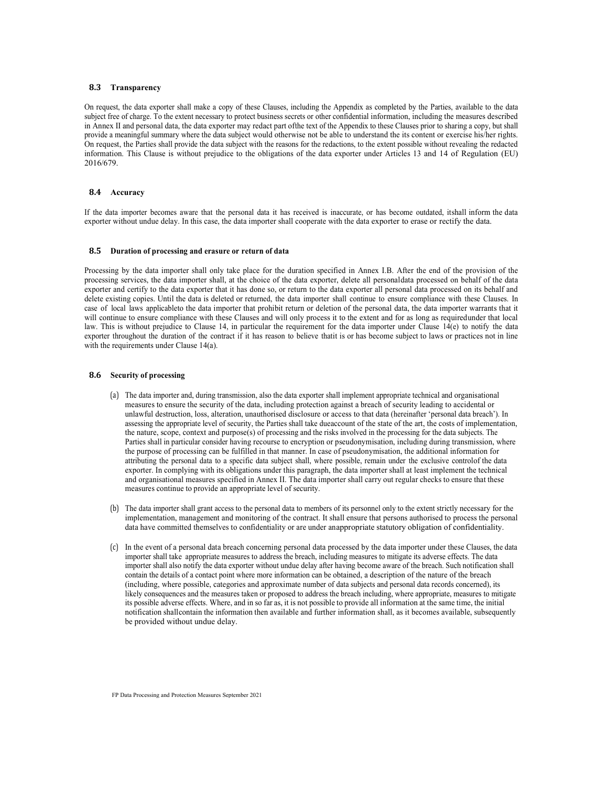#### 8.3 Transparency

On request, the data exporter shall make a copy of these Clauses, including the Appendix as completed by the Parties, available to the data subject free of charge. To the extent necessary to protect business secrets or other confidential information, including the measures described in Annex II and personal data, the data exporter may redact part of the text of the Appendix to these Clauses prior to sharing a copy, but shall provide a meaningful summary where the data subject would otherwise not be able to understand the its content or exercise his/her rights. On request, the Parties shall provide the data subject with the reasons for the redactions, to the extent possible without revealing the redacted information. This Clause is without prejudice to the obligations of the data exporter under Articles 13 and 14 of Regulation (EU) 2016/679.

# 8.4 Accuracy

If the data importer becomes aware that the personal data it has received is inaccurate, or has become outdated, it shall inform the data exporter without undue delay. In this case, the data importer shall cooperate with the data exporter to erase or rectify the data.

#### 8.5 Duration of processing and erasure or return of data

Processing by the data importer shall only take place for the duration specified in Annex I.B. After the end of the provision of the processing services, the data importer shall, at the choice of the data exporter, delete all personal data processed on behalf of the data exporter and certify to the data exporter that it has done so, or return to the data exporter all personal data processed on its behalf and delete existing copies. Until the data is deleted or returned, the data importer shall continue to ensure compliance with these Clauses. In case of local laws applicable to the data importer that prohibit return or deletion of the personal data, the data importer warrants that it will continue to ensure compliance with these Clauses and will only process it to the extent and for as long as required under that local law. This is without prejudice to Clause 14, in particular the requirement for the data importer under Clause 14(e) to notify the data exporter throughout the duration of the contract if it has reason to believe that it is or has become subject to laws or practices not in line with the requirements under Clause 14(a).

## 8.6 Security of processing

- (a) The data importer and, during transmission, also the data exporter shall implement appropriate technical and organisational measures to ensure the security of the data, including protection against a breach of security leading to accidental or unlawful destruction, loss, alteration, unauthorised disclosure or access to that data (hereinafter 'personal data breach'). In assessing the appropriate level of security, the Parties shall take due account of the state of the art, the costs of implementation, the nature, scope, context and purpose(s) of processing and the risks involved in the processing for the data subjects. The Parties shall in particular consider having recourse to encryption or pseudonymisation, including during transmission, where the purpose of processing can be fulfilled in that manner. In case of pseudonymisation, the additional information for attributing the personal data to a specific data subject shall, where possible, remain under the exclusive control of the data exporter. In complying with its obligations under this paragraph, the data importer shall at least implement the technical and organisational measures specified in Annex II. The data importer shall carry out regular checks to ensure that these measures continue to provide an appropriate level of security.
- (b) The data importer shall grant access to the personal data to members of its personnel only to the extent strictly necessary for the implementation, management and monitoring of the contract. It shall ensure that persons authorised to process the personal data have committed themselves to confidentiality or are under an appropriate statutory obligation of confidentiality.
- (c) In the event of a personal data breach concerning personal data processed by the data importer under these Clauses, the data importer shall take appropriate measures to address the breach, including measures to mitigate its adverse effects. The data importer shall also notify the data exporter without undue delay after having become aware of the breach. Such notification shall contain the details of a contact point where more information can be obtained, a description of the nature of the breach (including, where possible, categories and approximate number of data subjects and personal data records concerned), its likely consequences and the measures taken or proposed to address the breach including, where appropriate, measures to mitigate its possible adverse effects. Where, and in so far as, it is not possible to provide all information at the same time, the initial notification shall contain the information then available and further information shall, as it becomes available, subsequently be provided without undue delay.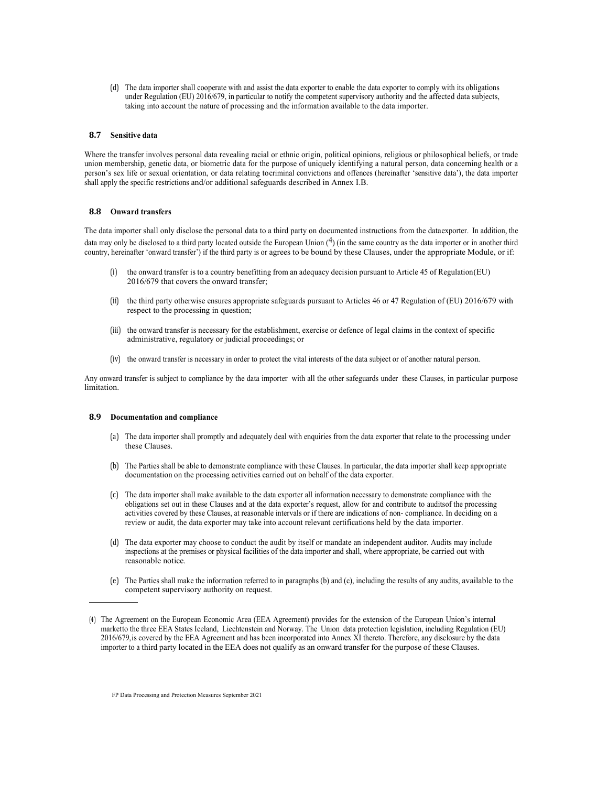(d) The data importer shall cooperate with and assist the data exporter to enable the data exporter to comply with its obligations under Regulation (EU) 2016/679, in particular to notify the competent supervisory authority and the affected data subjects, taking into account the nature of processing and the information available to the data importer.

#### 8.7 Sensitive data

Where the transfer involves personal data revealing racial or ethnic origin, political opinions, religious or philosophical beliefs, or trade union membership, genetic data, or biometric data for the purpose of uniquely identifying a natural person, data concerning health or a person's sex life or sexual orientation, or data relating to criminal convictions and offences (hereinafter 'sensitive data'), the data importer shall apply the specific restrictions and/or additional safeguards described in Annex I.B.

## 8.8 Onward transfers

The data importer shall only disclose the personal data to a third party on documented instructions from the data exporter. In addition, the data may only be disclosed to a third party located outside the European Union  $(4)$  (in the same country as the data importer or in another third country, hereinafter 'onward transfer') if the third party is or agrees to be bound by these Clauses, under the appropriate Module, or if:

- (i) the onward transfer is to a country benefitting from an adequacy decision pursuant to Article 45 of Regulation (EU) 2016/679 that covers the onward transfer;
- the third party otherwise ensures appropriate safeguards pursuant to Articles 46 or 47 Regulation of (EU) 2016/679 with respect to the processing in question;
- (iii) the onward transfer is necessary for the establishment, exercise or defence of legal claims in the context of specific administrative, regulatory or judicial proceedings; or
- (iv) the onward transfer is necessary in order to protect the vital interests of the data subject or of another natural person.

Any onward transfer is subject to compliance by the data importer with all the other safeguards under these Clauses, in particular purpose limitation.

#### 8.9 Documentation and compliance

- (a) The data importer shall promptly and adequately deal with enquiries from the data exporter that relate to the processing under these Clauses.
- (b) The Parties shall be able to demonstrate compliance with these Clauses. In particular, the data importer shall keep appropriate documentation on the processing activities carried out on behalf of the data exporter.
- (c) The data importer shall make available to the data exporter all information necessary to demonstrate compliance with the obligations set out in these Clauses and at the data exporter's request, allow for and contribute to audits of the processing activities covered by these Clauses, at reasonable intervals or if there are indications of non- compliance. In deciding on a review or audit, the data exporter may take into account relevant certifications held by the data importer.
- (d) The data exporter may choose to conduct the audit by itself or mandate an independent auditor. Audits may include inspections at the premises or physical facilities of the data importer and shall, where appropriate, be carried out with reasonable notice.
- (e) The Parties shall make the information referred to in paragraphs (b) and (c), including the results of any audits, available to the competent supervisory authority on request.
- (4) The Agreement on the European Economic Area (EEA Agreement) provides for the extension of the European Union's internal marketto the three EEA States Iceland, Liechtenstein and Norway. The Union data protection legislation, including Regulation (EU) 2016/679, is covered by the EEA Agreement and has been incorporated into Annex XI thereto. Therefore, any disclosure by the data importer to a third party located in the EEA does not qualify as an onward transfer for the purpose of these Clauses.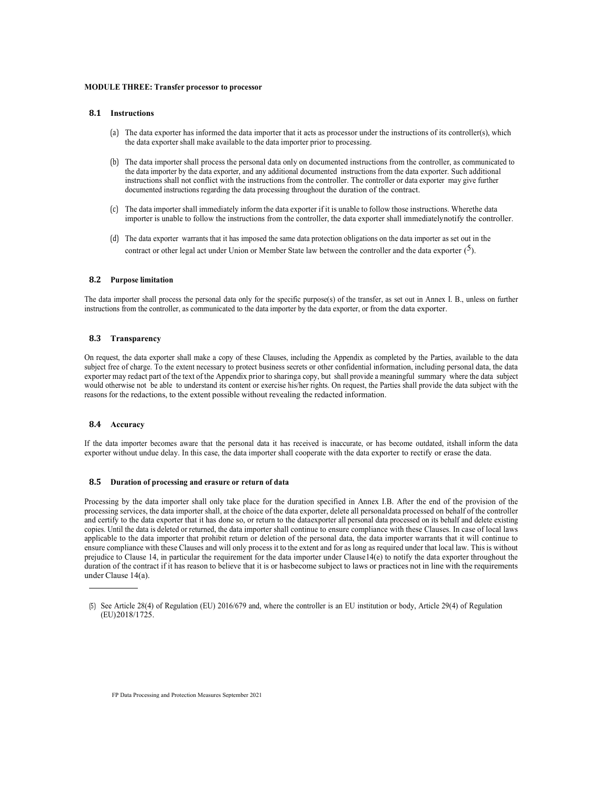## MODULE THREE: Transfer processor to processor

### 8.1 Instructions

- (a) The data exporter has informed the data importer that it acts as processor under the instructions of its controller(s), which the data exporter shall make available to the data importer prior to processing.
- (b) The data importer shall process the personal data only on documented instructions from the controller, as communicated to the data importer by the data exporter, and any additional documented instructions from the data exporter. Such additional instructions shall not conflict with the instructions from the controller. The controller or data exporter may give further documented instructions regarding the data processing throughout the duration of the contract.
- (c) The data importer shall immediately inform the data exporter if it is unable to follow those instructions. Where the data importer is unable to follow the instructions from the controller, the data exporter shall immediately notify the controller.
- (d) The data exporter warrants that it has imposed the same data protection obligations on the data importer as set out in the contract or other legal act under Union or Member State law between the controller and the data exporter  $(5)$ .

#### 8.2 Purpose limitation

The data importer shall process the personal data only for the specific purpose(s) of the transfer, as set out in Annex I. B., unless on further instructions from the controller, as communicated to the data importer by the data exporter, or from the data exporter.

## 8.3 Transparency

On request, the data exporter shall make a copy of these Clauses, including the Appendix as completed by the Parties, available to the data subject free of charge. To the extent necessary to protect business secrets or other confidential information, including personal data, the data exporter may redact part of the text of the Appendix prior to sharing a copy, but shall provide a meaningful summary where the data subject would otherwise not be able to understand its content or exercise his/her rights. On request, the Parties shall provide the data subject with the reasons for the redactions, to the extent possible without revealing the redacted information.

## 8.4 Accuracy

If the data importer becomes aware that the personal data it has received is inaccurate, or has become outdated, it shall inform the data exporter without undue delay. In this case, the data importer shall cooperate with the data exporter to rectify or erase the data.

#### 8.5 Duration of processing and erasure or return of data

Processing by the data importer shall only take place for the duration specified in Annex I.B. After the end of the provision of the processing services, the data importer shall, at the choice of the data exporter, delete all personal data processed on behalf of the controller and certify to the data exporter that it has done so, or return to the data exporter all personal data processed on its behalf and delete existing copies. Until the data is deleted or returned, the data importer shall continue to ensure compliance with these Clauses. In case of local laws applicable to the data importer that prohibit return or deletion of the personal data, the data importer warrants that it will continue to ensure compliance with these Clauses and will only process it to the extent and for as long as required under that local law. This is without prejudice to Clause 14, in particular the requirement for the data importer under Clause 14(e) to notify the data exporter throughout the duration of the contract if it has reason to believe that it is or has become subject to laws or practices not in line with the requirements under Clause 14(a).

<sup>(5)</sup> See Article 28(4) of Regulation (EU) 2016/679 and, where the controller is an EU institution or body, Article 29(4) of Regulation (EU) 2018/1725.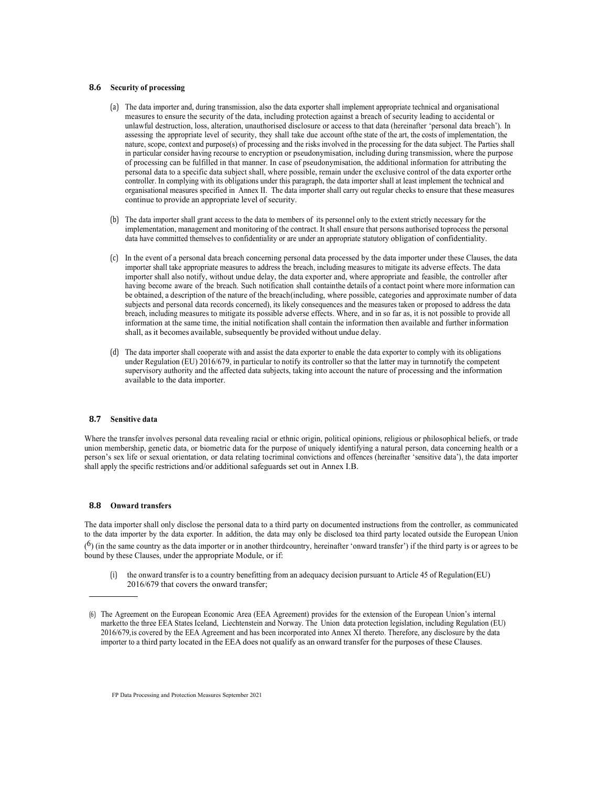## 8.6 Security of processing

- (a) The data importer and, during transmission, also the data exporter shall implement appropriate technical and organisational measures to ensure the security of the data, including protection against a breach of security leading to accidental or unlawful destruction, loss, alteration, unauthorised disclosure or access to that data (hereinafter 'personal data breach'). In assessing the appropriate level of security, they shall take due account of the state of the art, the costs of implementation, the nature, scope, context and purpose(s) of processing and the risks involved in the processing for the data subject. The Parties shall in particular consider having recourse to encryption or pseudonymisation, including during transmission, where the purpose of processing can be fulfilled in that manner. In case of pseudonymisation, the additional information for attributing the personal data to a specific data subject shall, where possible, remain under the exclusive control of the data exporter or the controller. In complying with its obligations under this paragraph, the data importer shall at least implement the technical and organisational measures specified in Annex II. The data importer shall carry out regular checks to ensure that these measures continue to provide an appropriate level of security.
- (b) The data importer shall grant access to the data to members of its personnel only to the extent strictly necessary for the implementation, management and monitoring of the contract. It shall ensure that persons authorised toprocess the personal data have committed themselves to confidentiality or are under an appropriate statutory obligation of confidentiality.
- (c) In the event of a personal data breach concerning personal data processed by the data importer under these Clauses, the data importer shall take appropriate measures to address the breach, including measures to mitigate its adverse effects. The data importer shall also notify, without undue delay, the data exporter and, where appropriate and feasible, the controller after having become aware of the breach. Such notification shall contain the details of a contact point where more information can be obtained, a description of the nature of the breach (including, where possible, categories and approximate number of data subjects and personal data records concerned), its likely consequences and the measures taken or proposed to address the data breach, including measures to mitigate its possible adverse effects. Where, and in so far as, it is not possible to provide all information at the same time, the initial notification shall contain the information then available and further information shall, as it becomes available, subsequently be provided without undue delay.
- (d) The data importer shall cooperate with and assist the data exporter to enable the data exporter to comply with its obligations under Regulation (EU) 2016/679, in particular to notify its controller so that the latter may in turnnotify the competent supervisory authority and the affected data subjects, taking into account the nature of processing and the information available to the data importer.

## 8.7 Sensitive data

Where the transfer involves personal data revealing racial or ethnic origin, political opinions, religious or philosophical beliefs, or trade union membership, genetic data, or biometric data for the purpose of uniquely identifying a natural person, data concerning health or a person's sex life or sexual orientation, or data relating to criminal convictions and offences (hereinafter 'sensitive data'), the data importer shall apply the specific restrictions and/or additional safeguards set out in Annex I.B.

## 8.8 Onward transfers

The data importer shall only disclose the personal data to a third party on documented instructions from the controller, as communicated to the data importer by the data exporter. In addition, the data may only be disclosed toa third party located outside the European Union  $(6)$  (in the same country as the data importer or in another third country, hereinafter 'onward transfer') if the third party is or agrees to be bound by these Clauses, under the appropriate Module, or if:

the onward transfer is to a country benefitting from an adequacy decision pursuant to Article 45 of Regulation (EU) 2016/679 that covers the onward transfer;

<sup>(6)</sup> The Agreement on the European Economic Area (EEA Agreement) provides for the extension of the European Union's internal market to the three EEA States Iceland, Liechtenstein and Norway. The Union data protection legislation, including Regulation (EU) 2016/679, is covered by the EEA Agreement and has been incorporated into Annex XI thereto. Therefore, any disclosure by the data importer to a third party located in the EEA does not qualify as an onward transfer for the purposes of these Clauses.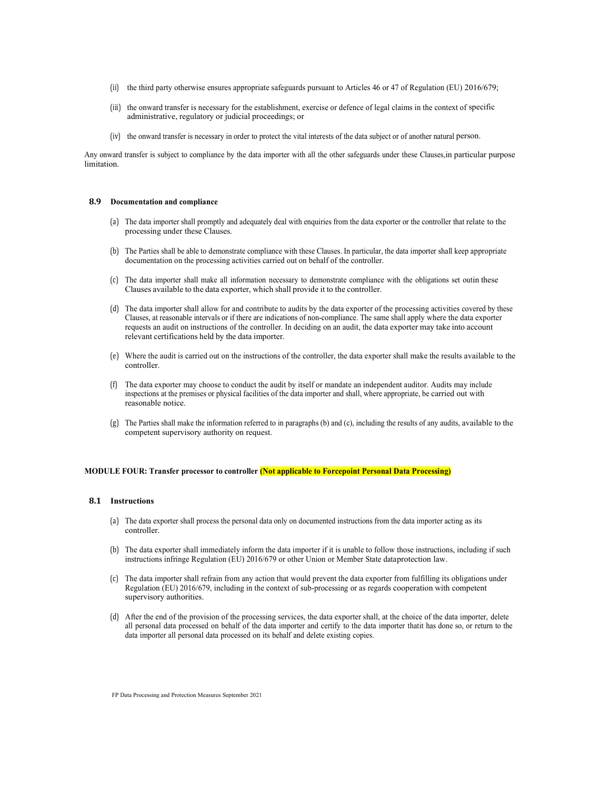- (ii) the third party otherwise ensures appropriate safeguards pursuant to Articles 46 or 47 of Regulation (EU) 2016/679;
- (iii) the onward transfer is necessary for the establishment, exercise or defence of legal claims in the context of specific administrative, regulatory or judicial proceedings; or
- (iv) the onward transfer is necessary in order to protect the vital interests of the data subject or of another natural person.

Any onward transfer is subject to compliance by the data importer with all the other safeguards under these Clauses, in particular purpose limitation.

#### 8.9 Documentation and compliance

- (a) The data importer shall promptly and adequately deal with enquiries from the data exporter or the controller that relate to the processing under these Clauses.
- (b) The Parties shall be able to demonstrate compliance with these Clauses. In particular, the data importer shall keep appropriate documentation on the processing activities carried out on behalf of the controller.
- (c) The data importer shall make all information necessary to demonstrate compliance with the obligations set out in these Clauses available to the data exporter, which shall provide it to the controller.
- (d) The data importer shall allow for and contribute to audits by the data exporter of the processing activities covered by these Clauses, at reasonable intervals or if there are indications of non-compliance. The same shall apply where the data exporter requests an audit on instructions of the controller. In deciding on an audit, the data exporter may take into account relevant certifications held by the data importer.
- (e) Where the audit is carried out on the instructions of the controller, the data exporter shall make the results available to the controller.
- (f) The data exporter may choose to conduct the audit by itself or mandate an independent auditor. Audits may include inspections at the premises or physical facilities of the data importer and shall, where appropriate, be carried out with reasonable notice.
- (g) The Parties shall make the information referred to in paragraphs (b) and (c), including the results of any audits, available to the competent supervisory authority on request.

#### MODULE FOUR: Transfer processor to controller (Not applicable to Forcepoint Personal Data Processing)

## 8.1 Instructions

- (a) The data exporter shall process the personal data only on documented instructions from the data importer acting as its controller.
- (b) The data exporter shall immediately inform the data importer if it is unable to follow those instructions, including if such instructions infringe Regulation (EU) 2016/679 or other Union or Member State dataprotection law.
- (c) The data importer shall refrain from any action that would prevent the data exporter from fulfilling its obligations under Regulation (EU) 2016/679, including in the context of sub-processing or as regards cooperation with competent supervisory authorities.
- (d) After the end of the provision of the processing services, the data exporter shall, at the choice of the data importer, delete all personal data processed on behalf of the data importer and certify to the data importer that it has done so, or return to the data importer all personal data processed on its behalf and delete existing copies.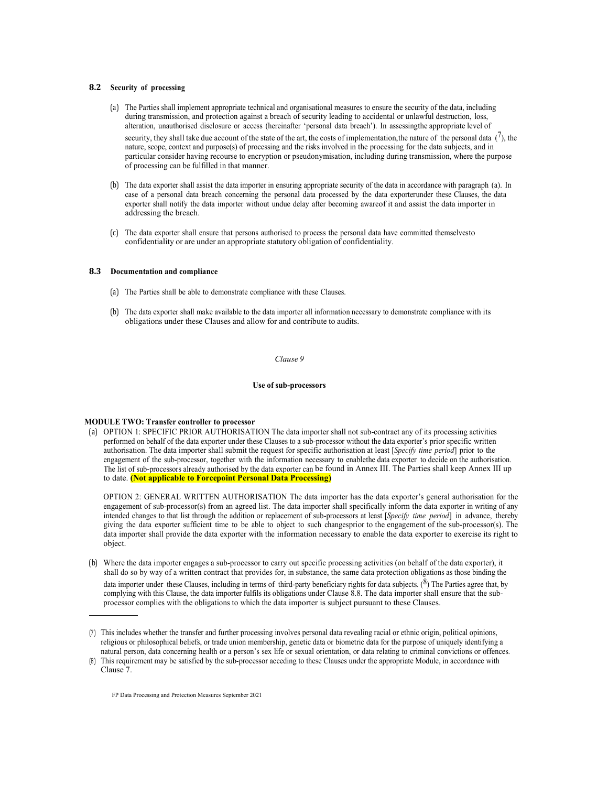# 8.2 Security of processing

- (a) The Parties shall implement appropriate technical and organisational measures to ensure the security of the data, including during transmission, and protection against a breach of security leading to accidental or unlawful destruction, loss, alteration, unauthorised disclosure or access (hereinafter 'personal data breach'). In assessing the appropriate level of security, they shall take due account of the state of the art, the costs of implementation, the nature of the personal data  $(7)$ , the nature, scope, context and purpose(s) of processing and the risks involved in the processing for the data subjects, and in particular consider having recourse to encryption or pseudonymisation, including during transmission, where the purpose of processing can be fulfilled in that manner.
- (b) The data exporter shall assist the data importer in ensuring appropriate security of the data in accordance with paragraph (a). In case of a personal data breach concerning the personal data processed by the data exporterunder these Clauses, the data exporter shall notify the data importer without undue delay after becoming aware of it and assist the data importer in addressing the breach.
- (c) The data exporter shall ensure that persons authorised to process the personal data have committed themselves to confidentiality or are under an appropriate statutory obligation of confidentiality.

## 8.3 Documentation and compliance

- (a) The Parties shall be able to demonstrate compliance with these Clauses.
- (b) The data exporter shall make available to the data importer all information necessary to demonstrate compliance with its obligations under these Clauses and allow for and contribute to audits.

Clause 9

### Use of sub-processors

## MODULE TWO: Transfer controller to processor

(a) OPTION 1: SPECIFIC PRIOR AUTHORISATION The data importer shall not sub-contract any of its processing activities performed on behalf of the data exporter under these Clauses to a sub-processor without the data exporter's prior specific written authorisation. The data importer shall submit the request for specific authorisation at least [Specify time period] prior to the engagement of the sub-processor, together with the information necessary to enable the data exporter to decide on the authorisation. The list of sub-processors already authorised by the data exporter can be found in Annex III. The Parties shall keep Annex III up to date. (Not applicable to Forcepoint Personal Data Processing)

OPTION 2: GENERAL WRITTEN AUTHORISATION The data importer has the data exporter's general authorisation for the engagement of sub-processor(s) from an agreed list. The data importer shall specifically inform the data exporter in writing of any intended changes to that list through the addition or replacement of sub-processors at least [Specify time period] in advance, thereby giving the data exporter sufficient time to be able to object to such changes prior to the engagement of the sub-processor(s). The data importer shall provide the data exporter with the information necessary to enable the data exporter to exercise its right to object.

(b) Where the data importer engages a sub-processor to carry out specific processing activities (on behalf of the data exporter), it shall do so by way of a written contract that provides for, in substance, the same data protection obligations as those binding the data importer under these Clauses, including in terms of third-party beneficiary rights for data subjects.  $(8)$  The Parties agree that, by complying with this Clause, the data importer fulfils its obligations under Clause 8.8. The data importer shall ensure that the subprocessor complies with the obligations to which the data importer is subject pursuant to these Clauses.

<sup>(7)</sup> This includes whether the transfer and further processing involves personal data revealing racial or ethnic origin, political opinions, religious or philosophical beliefs, or trade union membership, genetic data or biometric data for the purpose of uniquely identifying a natural person, data concerning health or a person's sex life or sexual orientation, or data relating to criminal convictions or offences.

<sup>(8)</sup> This requirement may be satisfied by the sub-processor acceding to these Clauses under the appropriate Module, in accordance with Clause 7.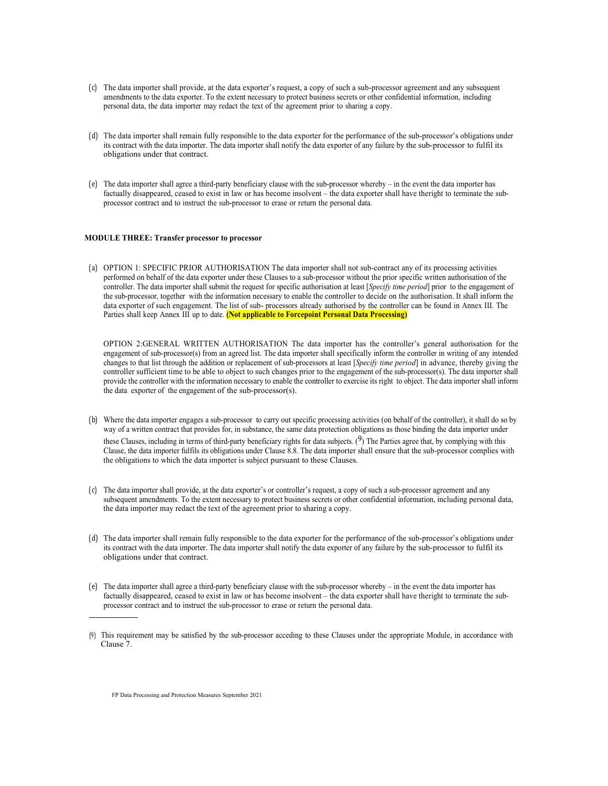- (c) The data importer shall provide, at the data exporter's request, a copy of such a sub-processor agreement and any subsequent amendments to the data exporter. To the extent necessary to protect business secrets or other confidential information, including personal data, the data importer may redact the text of the agreement prior to sharing a copy.
- (d) The data importer shall remain fully responsible to the data exporter for the performance of the sub-processor's obligations under its contract with the data importer. The data importer shall notify the data exporter of any failure by the sub-processor to fulfil its obligations under that contract.
- (e) The data importer shall agree a third-party beneficiary clause with the sub-processor whereby in the event the data importer has factually disappeared, ceased to exist in law or has become insolvent – the data exporter shall have the right to terminate the subprocessor contract and to instruct the sub-processor to erase or return the personal data.

#### MODULE THREE: Transfer processor to processor

(a) OPTION 1: SPECIFIC PRIOR AUTHORISATION The data importer shall not sub-contract any of its processing activities performed on behalf of the data exporter under these Clauses to a sub-processor without the prior specific written authorisation of the controller. The data importer shall submit the request for specific authorisation at least [Specify time period] prior to the engagement of the sub-processor, together with the information necessary to enable the controller to decide on the authorisation. It shall inform the data exporter of such engagement. The list of sub- processors already authorised by the controller can be found in Annex III. The Parties shall keep Annex III up to date. (Not applicable to Forcepoint Personal Data Processing)

OPTION 2:GENERAL WRITTEN AUTHORISATION The data importer has the controller's general authorisation for the engagement of sub-processor(s) from an agreed list. The data importer shall specifically inform the controller in writing of any intended changes to that list through the addition or replacement of sub-processors at least [Specify time period] in advance, thereby giving the controller sufficient time to be able to object to such changes prior to the engagement of the sub-processor(s). The data importer shall provide the controller with the information necessary to enable the controller to exercise its right to object. The data importer shall inform the data exporter of the engagement of the sub-processor(s).

- (b) Where the data importer engages a sub-processor to carry out specific processing activities (on behalf of the controller), it shall do so by way of a written contract that provides for, in substance, the same data protection obligations as those binding the data importer under these Clauses, including in terms of third-party beneficiary rights for data subjects.  $(9)$  The Parties agree that, by complying with this Clause, the data importer fulfils its obligations under Clause 8.8. The data importer shall ensure that the sub-processor complies with the obligations to which the data importer is subject pursuant to these Clauses.
- (c) The data importer shall provide, at the data exporter's or controller's request, a copy of such a sub-processor agreement and any subsequent amendments. To the extent necessary to protect business secrets or other confidential information, including personal data, the data importer may redact the text of the agreement prior to sharing a copy.
- (d) The data importer shall remain fully responsible to the data exporter for the performance of the sub-processor's obligations under its contract with the data importer. The data importer shall notify the data exporter of any failure by the sub-processor to fulfil its obligations under that contract.
- (e) The data importer shall agree a third-party beneficiary clause with the sub-processor whereby in the event the data importer has factually disappeared, ceased to exist in law or has become insolvent – the data exporter shall have the right to terminate the subprocessor contract and to instruct the sub-processor to erase or return the personal data.

<sup>(9)</sup> This requirement may be satisfied by the sub-processor acceding to these Clauses under the appropriate Module, in accordance with Clause 7.

FP Data Processing and Protection Measures September 2021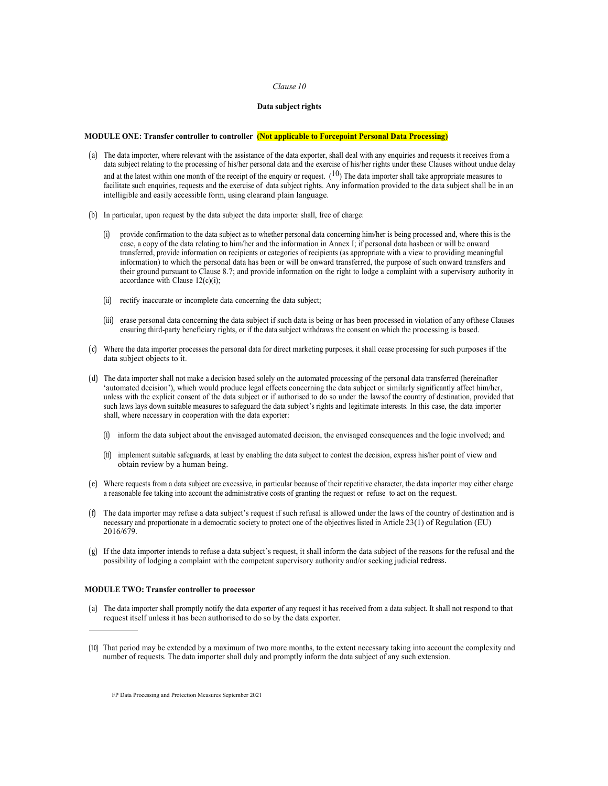#### Data subject rights

## MODULE ONE: Transfer controller to controller (Not applicable to Forcepoint Personal Data Processing)

- (a) The data importer, where relevant with the assistance of the data exporter, shall deal with any enquiries and requests it receives from a data subject relating to the processing of his/her personal data and the exercise of his/her rights under these Clauses without undue delay and at the latest within one month of the receipt of the enquiry or request.  $(^{10})$  The data importer shall take appropriate measures to facilitate such enquiries, requests and the exercise of data subject rights. Any information provided to the data subject shall be in an intelligible and easily accessible form, using clear and plain language.
- (b) In particular, upon request by the data subject the data importer shall, free of charge:
	- (i) provide confirmation to the data subject as to whether personal data concerning him/her is being processed and, where this is the case, a copy of the data relating to him/her and the information in Annex I; if personal data has been or will be onward transferred, provide information on recipients or categories of recipients (as appropriate with a view to providing meaningful information) to which the personal data has been or will be onward transferred, the purpose of such onward transfers and their ground pursuant to Clause 8.7; and provide information on the right to lodge a complaint with a supervisory authority in accordance with Clause 12(c)(i);
	- (ii) rectify inaccurate or incomplete data concerning the data subject;
	- (iii) erase personal data concerning the data subject if such data is being or has been processed in violation of any of these Clauses ensuring third-party beneficiary rights, or if the data subject withdraws the consent on which the processing is based.
- (c) Where the data importer processes the personal data for direct marketing purposes, it shall cease processing for such purposes if the data subject objects to it.
- (d) The data importer shall not make a decision based solely on the automated processing of the personal data transferred (hereinafter 'automated decision'), which would produce legal effects concerning the data subject or similarly significantly affect him/her, unless with the explicit consent of the data subject or if authorised to do so under the laws of the country of destination, provided that such laws lays down suitable measures to safeguard the data subject's rights and legitimate interests. In this case, the data importer shall, where necessary in cooperation with the data exporter:
	- (i) inform the data subject about the envisaged automated decision, the envisaged consequences and the logic involved; and
	- (ii) implement suitable safeguards, at least by enabling the data subject to contest the decision, express his/her point of view and obtain review by a human being.
- (e) Where requests from a data subject are excessive, in particular because of their repetitive character, the data importer may either charge a reasonable fee taking into account the administrative costs of granting the request or refuse to act on the request.
- (f) The data importer may refuse a data subject's request if such refusal is allowed under the laws of the country of destination and is necessary and proportionate in a democratic society to protect one of the objectives listed in Article 23(1) of Regulation (EU) 2016/679.
- (g) If the data importer intends to refuse a data subject's request, it shall inform the data subject of the reasons for the refusal and the possibility of lodging a complaint with the competent supervisory authority and/or seeking judicial redress.

# MODULE TWO: Transfer controller to processor

- (a) The data importer shall promptly notify the data exporter of any request it has received from a data subject. It shall not respond to that request itself unless it has been authorised to do so by the data exporter.
- (10) That period may be extended by a maximum of two more months, to the extent necessary taking into account the complexity and number of requests. The data importer shall duly and promptly inform the data subject of any such extension.

FP Data Processing and Protection Measures September 2021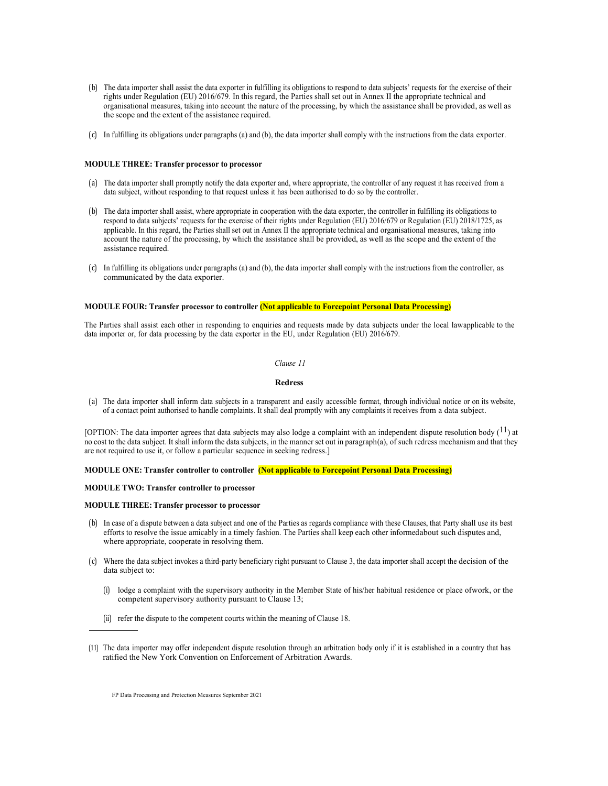- (b) The data importer shall assist the data exporter in fulfilling its obligations to respond to data subjects' requests for the exercise of their rights under Regulation (EU) 2016/679. In this regard, the Parties shall set out in Annex II the appropriate technical and organisational measures, taking into account the nature of the processing, by which the assistance shall be provided, as well as the scope and the extent of the assistance required.
- (c) In fulfilling its obligations under paragraphs (a) and (b), the data importer shall comply with the instructions from the data exporter.

#### MODULE THREE: Transfer processor to processor

- (a) The data importer shall promptly notify the data exporter and, where appropriate, the controller of any request it has received from a data subject, without responding to that request unless it has been authorised to do so by the controller.
- (b) The data importer shall assist, where appropriate in cooperation with the data exporter, the controller in fulfilling its obligations to respond to data subjects' requests for the exercise of their rights under Regulation (EU) 2016/679 or Regulation (EU) 2018/1725, as applicable. In this regard, the Parties shall set out in Annex II the appropriate technical and organisational measures, taking into account the nature of the processing, by which the assistance shall be provided, as well as the scope and the extent of the assistance required.
- (c) In fulfilling its obligations under paragraphs (a) and (b), the data importer shall comply with the instructions from the controller, as communicated by the data exporter.

#### MODULE FOUR: Transfer processor to controller (Not applicable to Forcepoint Personal Data Processing)

The Parties shall assist each other in responding to enquiries and requests made by data subjects under the local law applicable to the data importer or, for data processing by the data exporter in the EU, under Regulation (EU) 2016/679.

#### Clause 11

## Redress

(a) The data importer shall inform data subjects in a transparent and easily accessible format, through individual notice or on its website, of a contact point authorised to handle complaints. It shall deal promptly with any complaints it receives from a data subject.

[OPTION: The data importer agrees that data subjects may also lodge a complaint with an independent dispute resolution body  $\binom{11}{1}$  at no cost to the data subject. It shall inform the data subjects, in the manner set out in paragraph (a), of such redress mechanism and that they are not required to use it, or follow a particular sequence in seeking redress.]

MODULE ONE: Transfer controller to controller (Not applicable to Forcepoint Personal Data Processing)

#### MODULE TWO: Transfer controller to processor

#### MODULE THREE: Transfer processor to processor

- (b) In case of a dispute between a data subject and one of the Parties as regards compliance with these Clauses, that Party shall use its best efforts to resolve the issue amicably in a timely fashion. The Parties shall keep each other informed about such disputes and, where appropriate, cooperate in resolving them.
- (c) Where the data subject invokes a third-party beneficiary right pursuant to Clause 3, the data importer shall accept the decision of the data subject to:
	- (i) lodge a complaint with the supervisory authority in the Member State of his/her habitual residence or place of work, or the competent supervisory authority pursuant to Clause 13;
	- (ii) refer the dispute to the competent courts within the meaning of Clause 18.

<sup>(11)</sup> The data importer may offer independent dispute resolution through an arbitration body only if it is established in a country that has ratified the New York Convention on Enforcement of Arbitration Awards.

FP Data Processing and Protection Measures September 2021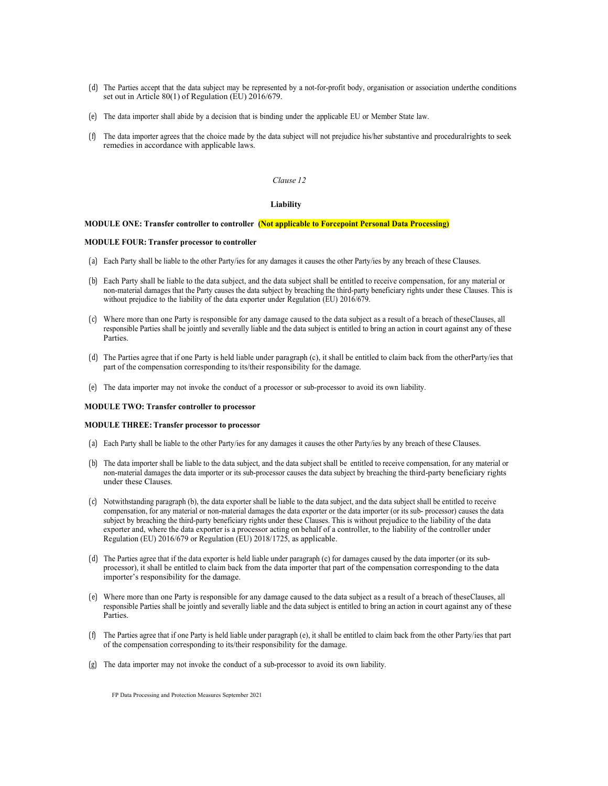- (d) The Parties accept that the data subject may be represented by a not-for-profit body, organisation or association under the conditions set out in Article 80(1) of Regulation (EU) 2016/679.
- (e) The data importer shall abide by a decision that is binding under the applicable EU or Member State law.
- (f) The data importer agrees that the choice made by the data subject will not prejudice his/her substantive and procedural rights to seek remedies in accordance with applicable laws.

## Liability

#### MODULE ONE: Transfer controller to controller (Not applicable to Forcepoint Personal Data Processing)

#### MODULE FOUR: Transfer processor to controller

- (a) Each Party shall be liable to the other Party/ies for any damages it causes the other Party/ies by any breach of these Clauses.
- (b) Each Party shall be liable to the data subject, and the data subject shall be entitled to receive compensation, for any material or non-material damages that the Party causes the data subject by breaching the third-party beneficiary rights under these Clauses. This is without prejudice to the liability of the data exporter under Regulation (EU) 2016/679.
- (c) Where more than one Party is responsible for any damage caused to the data subject as a result of a breach of these Clauses, all responsible Parties shall be jointly and severally liable and the data subject is entitled to bring an action in court against any of these Parties.
- (d) The Parties agree that if one Party is held liable under paragraph (c), it shall be entitled to claim back from the other Party/ies that part of the compensation corresponding to its/their responsibility for the damage.
- (e) The data importer may not invoke the conduct of a processor or sub-processor to avoid its own liability.

#### MODULE TWO: Transfer controller to processor

#### MODULE THREE: Transfer processor to processor

- (a) Each Party shall be liable to the other Party/ies for any damages it causes the other Party/ies by any breach of these Clauses.
- (b) The data importer shall be liable to the data subject, and the data subject shall be entitled to receive compensation, for any material or non-material damages the data importer or its sub-processor causes the data subject by breaching the third-party beneficiary rights under these Clauses.
- (c) Notwithstanding paragraph (b), the data exporter shall be liable to the data subject, and the data subject shall be entitled to receive compensation, for any material or non-material damages the data exporter or the data importer (or its sub- processor) causes the data subject by breaching the third-party beneficiary rights under these Clauses. This is without prejudice to the liability of the data exporter and, where the data exporter is a processor acting on behalf of a controller, to the liability of the controller under Regulation (EU) 2016/679 or Regulation (EU) 2018/1725, as applicable.
- (d) The Parties agree that if the data exporter is held liable under paragraph (c) for damages caused by the data importer (or its subprocessor), it shall be entitled to claim back from the data importer that part of the compensation corresponding to the data importer's responsibility for the damage.
- (e) Where more than one Party is responsible for any damage caused to the data subject as a result of a breach of these Clauses, all responsible Parties shall be jointly and severally liable and the data subject is entitled to bring an action in court against any of these Parties.
- (f) The Parties agree that if one Party is held liable under paragraph (e), it shall be entitled to claim back from the other Party/ies that part of the compensation corresponding to its/their responsibility for the damage.
- (g) The data importer may not invoke the conduct of a sub-processor to avoid its own liability.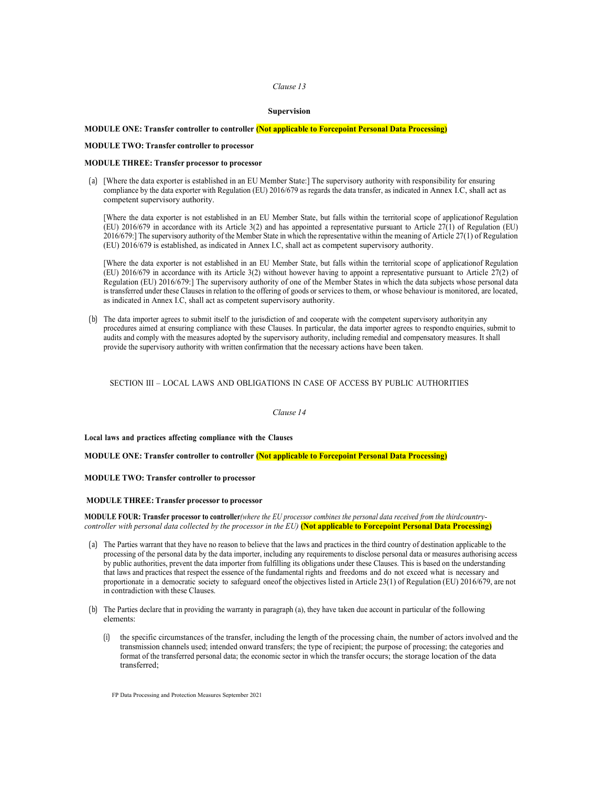## Supervision

#### MODULE ONE: Transfer controller to controller (Not applicable to Forcepoint Personal Data Processing)

#### MODULE TWO: Transfer controller to processor

## MODULE THREE: Transfer processor to processor

(a) [Where the data exporter is established in an EU Member State:] The supervisory authority with responsibility for ensuring compliance by the data exporter with Regulation (EU) 2016/679 as regards the data transfer, as indicated in Annex I.C, shall act as competent supervisory authority.

[Where the data exporter is not established in an EU Member State, but falls within the territorial scope of application of Regulation (EU) 2016/679 in accordance with its Article 3(2) and has appointed a representative pursuant to Article 27(1) of Regulation (EU) 2016/679:] The supervisory authority of the Member State in which the representative within the meaning of Article 27(1) of Regulation (EU) 2016/679 is established, as indicated in Annex I.C, shall act as competent supervisory authority.

[Where the data exporter is not established in an EU Member State, but falls within the territorial scope of application of Regulation (EU) 2016/679 in accordance with its Article 3(2) without however having to appoint a representative pursuant to Article 27(2) of Regulation (EU) 2016/679:] The supervisory authority of one of the Member States in which the data subjects whose personal data is transferred under these Clauses in relation to the offering of goods or services to them, or whose behaviour is monitored, are located, as indicated in Annex I.C, shall act as competent supervisory authority.

(b) The data importer agrees to submit itself to the jurisdiction of and cooperate with the competent supervisory authority in any procedures aimed at ensuring compliance with these Clauses. In particular, the data importer agrees to respond to enquiries, submit to audits and comply with the measures adopted by the supervisory authority, including remedial and compensatory measures. It shall provide the supervisory authority with written confirmation that the necessary actions have been taken.

SECTION III – LOCAL LAWS AND OBLIGATIONS IN CASE OF ACCESS BY PUBLIC AUTHORITIES

Clause 14

Local laws and practices affecting compliance with the Clauses

MODULE ONE: Transfer controller to controller (Not applicable to Forcepoint Personal Data Processing)

MODULE TWO: Transfer controller to processor

#### MODULE THREE: Transfer processor to processor

MODULE FOUR: Transfer processor to controller(where the EU processor combines the personal data received from the third countrycontroller with personal data collected by the processor in the EU) (Not applicable to Forcepoint Personal Data Processing)

- (a) The Parties warrant that they have no reason to believe that the laws and practices in the third country of destination applicable to the processing of the personal data by the data importer, including any requirements to disclose personal data or measures authorising access by public authorities, prevent the data importer from fulfilling its obligations under these Clauses. This is based on the understanding that laws and practices that respect the essence of the fundamental rights and freedoms and do not exceed what is necessary and proportionate in a democratic society to safeguard one of the objectives listed in Article 23(1) of Regulation (EU) 2016/679, are not in contradiction with these Clauses.
- (b) The Parties declare that in providing the warranty in paragraph (a), they have taken due account in particular of the following elements:
	- (i) the specific circumstances of the transfer, including the length of the processing chain, the number of actors involved and the transmission channels used; intended onward transfers; the type of recipient; the purpose of processing; the categories and format of the transferred personal data; the economic sector in which the transfer occurs; the storage location of the data transferred;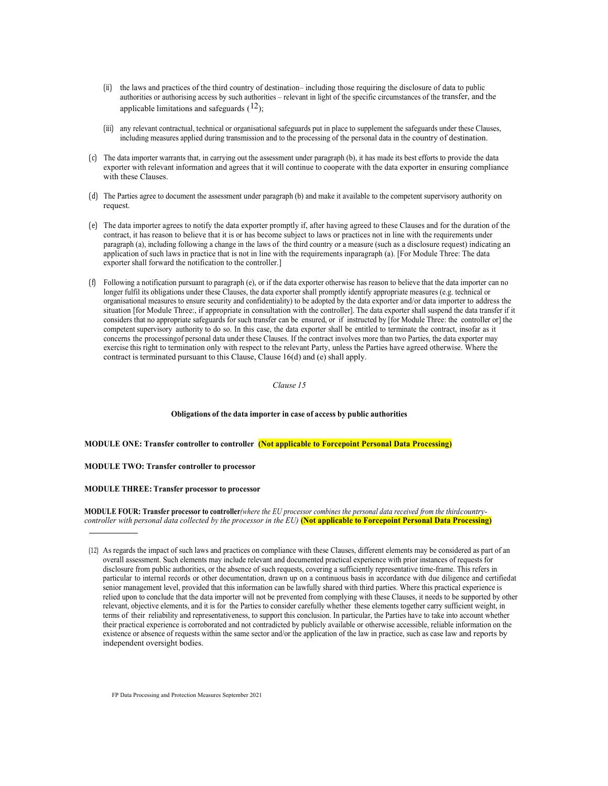- (ii) the laws and practices of the third country of destination– including those requiring the disclosure of data to public authorities or authorising access by such authorities – relevant in light of the specific circumstances of the transfer, and the applicable limitations and safeguards  $(12)$ ;
- (iii) any relevant contractual, technical or organisational safeguards put in place to supplement the safeguards under these Clauses, including measures applied during transmission and to the processing of the personal data in the country of destination.
- (c) The data importer warrants that, in carrying out the assessment under paragraph (b), it has made its best efforts to provide the data exporter with relevant information and agrees that it will continue to cooperate with the data exporter in ensuring compliance with these Clauses.
- (d) The Parties agree to document the assessment under paragraph (b) and make it available to the competent supervisory authority on request.
- (e) The data importer agrees to notify the data exporter promptly if, after having agreed to these Clauses and for the duration of the contract, it has reason to believe that it is or has become subject to laws or practices not in line with the requirements under paragraph (a), including following a change in the laws of the third country or a measure (such as a disclosure request) indicating an application of such laws in practice that is not in line with the requirements in paragraph (a). [For Module Three: The data exporter shall forward the notification to the controller.]
- (f) Following a notification pursuant to paragraph (e), or if the data exporter otherwise has reason to believe that the data importer can no longer fulfil its obligations under these Clauses, the data exporter shall promptly identify appropriate measures (e.g. technical or organisational measures to ensure security and confidentiality) to be adopted by the data exporter and/or data importer to address the situation [for Module Three:, if appropriate in consultation with the controller]. The data exporter shall suspend the data transfer if it considers that no appropriate safeguards for such transfer can be ensured, or if instructed by [for Module Three: the controller or] the competent supervisory authority to do so. In this case, the data exporter shall be entitled to terminate the contract, insofar as it concerns the processing of personal data under these Clauses. If the contract involves more than two Parties, the data exporter may exercise this right to termination only with respect to the relevant Party, unless the Parties have agreed otherwise. Where the contract is terminated pursuant to this Clause, Clause 16(d) and (e) shall apply.

Obligations of the data importer in case of access by public authorities

MODULE ONE: Transfer controller to controller (Not applicable to Forcepoint Personal Data Processing)

## MODULE TWO: Transfer controller to processor

## MODULE THREE: Transfer processor to processor

MODULE FOUR: Transfer processor to controller(where the EU processor combines the personal data received from the third countrycontroller with personal data collected by the processor in the EU) (Not applicable to Forcepoint Personal Data Processing)

<sup>(12)</sup> As regards the impact of such laws and practices on compliance with these Clauses, different elements may be considered as part of an overall assessment. Such elements may include relevant and documented practical experience with prior instances of requests for disclosure from public authorities, or the absence of such requests, covering a sufficiently representative time-frame. This refers in particular to internal records or other documentation, drawn up on a continuous basis in accordance with due diligence and certifiedat senior management level, provided that this information can be lawfully shared with third parties. Where this practical experience is relied upon to conclude that the data importer will not be prevented from complying with these Clauses, it needs to be supported by other relevant, objective elements, and it is for the Parties to consider carefully whether these elements together carry sufficient weight, in terms of their reliability and representativeness, to support this conclusion. In particular, the Parties have to take into account whether their practical experience is corroborated and not contradicted by publicly available or otherwise accessible, reliable information on the existence or absence of requests within the same sector and/or the application of the law in practice, such as case law and reports by independent oversight bodies.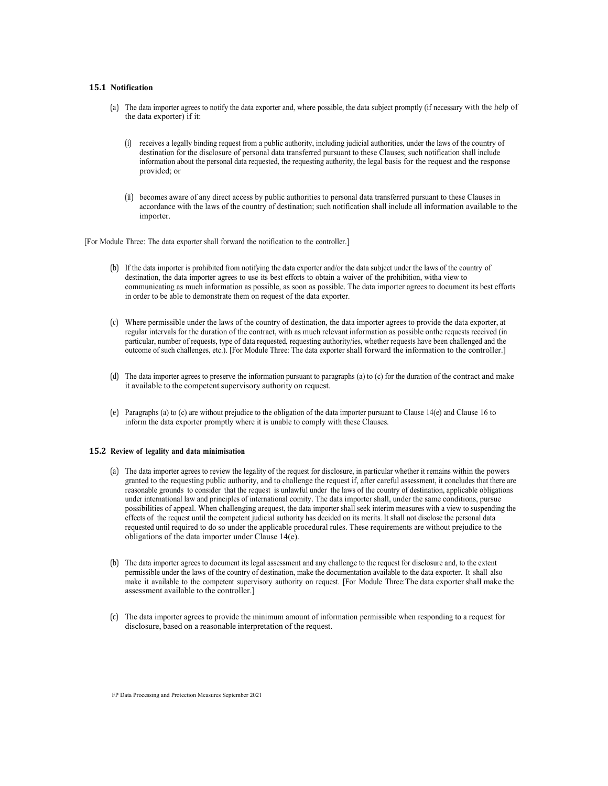## 15.1 Notification

- (a) The data importer agrees to notify the data exporter and, where possible, the data subject promptly (if necessary with the help of the data exporter) if it:
	- (i) receives a legally binding request from a public authority, including judicial authorities, under the laws of the country of destination for the disclosure of personal data transferred pursuant to these Clauses; such notification shall include information about the personal data requested, the requesting authority, the legal basis for the request and the response provided; or
	- (ii) becomes aware of any direct access by public authorities to personal data transferred pursuant to these Clauses in accordance with the laws of the country of destination; such notification shall include all information available to the importer.

[For Module Three: The data exporter shall forward the notification to the controller.]

- (b) If the data importer is prohibited from notifying the data exporter and/or the data subject under the laws of the country of destination, the data importer agrees to use its best efforts to obtain a waiver of the prohibition, witha view to communicating as much information as possible, as soon as possible. The data importer agrees to document its best efforts in order to be able to demonstrate them on request of the data exporter.
- (c) Where permissible under the laws of the country of destination, the data importer agrees to provide the data exporter, at regular intervals for the duration of the contract, with as much relevant information as possible on the requests received (in particular, number of requests, type of data requested, requesting authority/ies, whether requests have been challenged and the outcome of such challenges, etc.). [For Module Three: The data exporter shall forward the information to the controller.]
- (d) The data importer agrees to preserve the information pursuant to paragraphs (a) to (c) for the duration of the contract and make it available to the competent supervisory authority on request.
- (e) Paragraphs (a) to (c) are without prejudice to the obligation of the data importer pursuant to Clause 14(e) and Clause 16 to inform the data exporter promptly where it is unable to comply with these Clauses.

### 15.2 Review of legality and data minimisation

- (a) The data importer agrees to review the legality of the request for disclosure, in particular whether it remains within the powers granted to the requesting public authority, and to challenge the request if, after careful assessment, it concludes that there are reasonable grounds to consider that the request is unlawful under the laws of the country of destination, applicable obligations under international law and principles of international comity. The data importer shall, under the same conditions, pursue possibilities of appeal. When challenging a request, the data importer shall seek interim measures with a view to suspending the effects of the request until the competent judicial authority has decided on its merits. It shall not disclose the personal data requested until required to do so under the applicable procedural rules. These requirements are without prejudice to the obligations of the data importer under Clause 14(e).
- (b) The data importer agrees to document its legal assessment and any challenge to the request for disclosure and, to the extent permissible under the laws of the country of destination, make the documentation available to the data exporter. It shall also make it available to the competent supervisory authority on request. [For Module Three: The data exporter shall make the assessment available to the controller.]
- (c) The data importer agrees to provide the minimum amount of information permissible when responding to a request for disclosure, based on a reasonable interpretation of the request.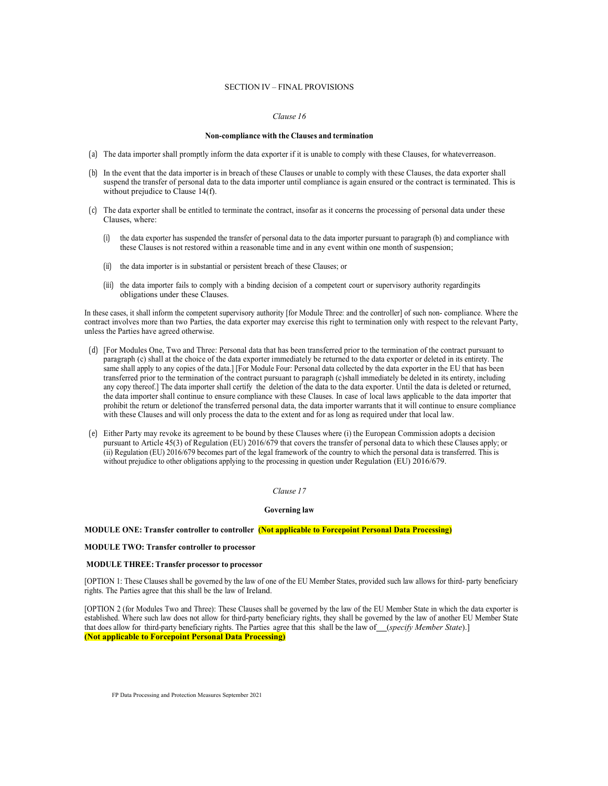## SECTION IV – FINAL PROVISIONS

## Clause 16

#### Non-compliance with the Clauses and termination

- (a) The data importer shall promptly inform the data exporter if it is unable to comply with these Clauses, for whatever reason.
- (b) In the event that the data importer is in breach of these Clauses or unable to comply with these Clauses, the data exporter shall suspend the transfer of personal data to the data importer until compliance is again ensured or the contract is terminated. This is without prejudice to Clause 14(f).
- (c) The data exporter shall be entitled to terminate the contract, insofar as it concerns the processing of personal data under these Clauses, where:
	- (i) the data exporter has suspended the transfer of personal data to the data importer pursuant to paragraph (b) and compliance with these Clauses is not restored within a reasonable time and in any event within one month of suspension;
	- (ii) the data importer is in substantial or persistent breach of these Clauses; or
	- (iii) the data importer fails to comply with a binding decision of a competent court or supervisory authority regarding its obligations under these Clauses.

In these cases, it shall inform the competent supervisory authority [for Module Three: and the controller] of such non- compliance. Where the contract involves more than two Parties, the data exporter may exercise this right to termination only with respect to the relevant Party, unless the Parties have agreed otherwise.

- (d) [For Modules One, Two and Three: Personal data that has been transferred prior to the termination of the contract pursuant to paragraph (c) shall at the choice of the data exporter immediately be returned to the data exporter or deleted in its entirety. The same shall apply to any copies of the data.] [For Module Four: Personal data collected by the data exporter in the EU that has been transferred prior to the termination of the contract pursuant to paragraph (c) shall immediately be deleted in its entirety, including any copy thereof.] The data importer shall certify the deletion of the data to the data exporter. Until the data is deleted or returned, the data importer shall continue to ensure compliance with these Clauses. In case of local laws applicable to the data importer that prohibit the return or deletion of the transferred personal data, the data importer warrants that it will continue to ensure compliance with these Clauses and will only process the data to the extent and for as long as required under that local law.
- (e) Either Party may revoke its agreement to be bound by these Clauses where (i) the European Commission adopts a decision pursuant to Article 45(3) of Regulation (EU) 2016/679 that covers the transfer of personal data to which these Clauses apply; or (ii) Regulation (EU) 2016/679 becomes part of the legal framework of the country to which the personal data is transferred. This is without prejudice to other obligations applying to the processing in question under Regulation (EU) 2016/679.

Clause 17

#### Governing law

## MODULE ONE: Transfer controller to controller (Not applicable to Forcepoint Personal Data Processing)

#### MODULE TWO: Transfer controller to processor

#### MODULE THREE: Transfer processor to processor

[OPTION 1: These Clauses shall be governed by the law of one of the EU Member States, provided such law allows for third- party beneficiary rights. The Parties agree that this shall be the law of Ireland.

[OPTION 2 (for Modules Two and Three): These Clauses shall be governed by the law of the EU Member State in which the data exporter is established. Where such law does not allow for third-party beneficiary rights, they shall be governed by the law of another EU Member State that does allow for third-party beneficiary rights. The Parties agree that this shall be the law of (specify Member State).] (Not applicable to Forcepoint Personal Data Processing)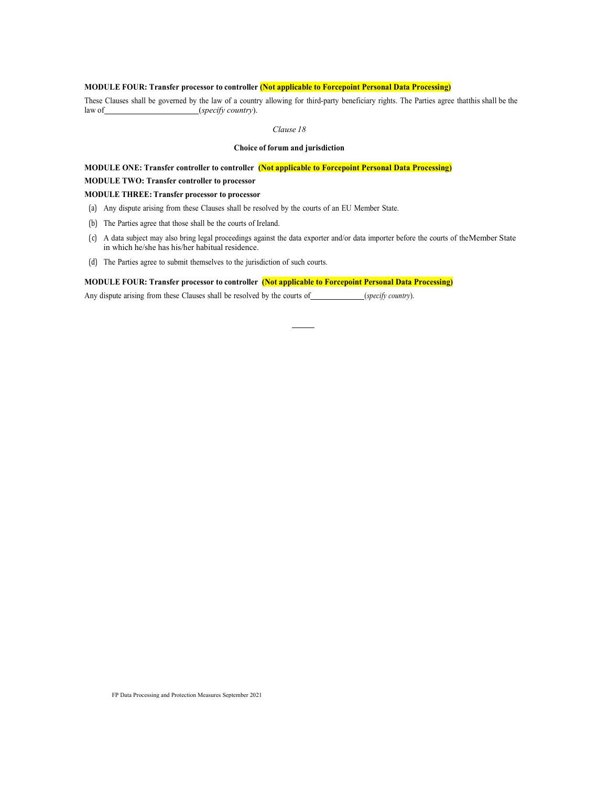## MODULE FOUR: Transfer processor to controller (Not applicable to Forcepoint Personal Data Processing)

These Clauses shall be governed by the law of a country allowing for third-party beneficiary rights. The Parties agree that this shall be the law of (specify country).

#### Clause 18

# Choice of forum and jurisdiction

MODULE ONE: Transfer controller to controller (Not applicable to Forcepoint Personal Data Processing)

# MODULE TWO: Transfer controller to processor

## MODULE THREE: Transfer processor to processor

- (a) Any dispute arising from these Clauses shall be resolved by the courts of an EU Member State.
- (b) The Parties agree that those shall be the courts of Ireland.
- (c) A data subject may also bring legal proceedings against the data exporter and/or data importer before the courts of the Member State in which he/she has his/her habitual residence.
- (d) The Parties agree to submit themselves to the jurisdiction of such courts.

# MODULE FOUR: Transfer processor to controller (Not applicable to Forcepoint Personal Data Processing)

Any dispute arising from these Clauses shall be resolved by the courts of *(specify country)*.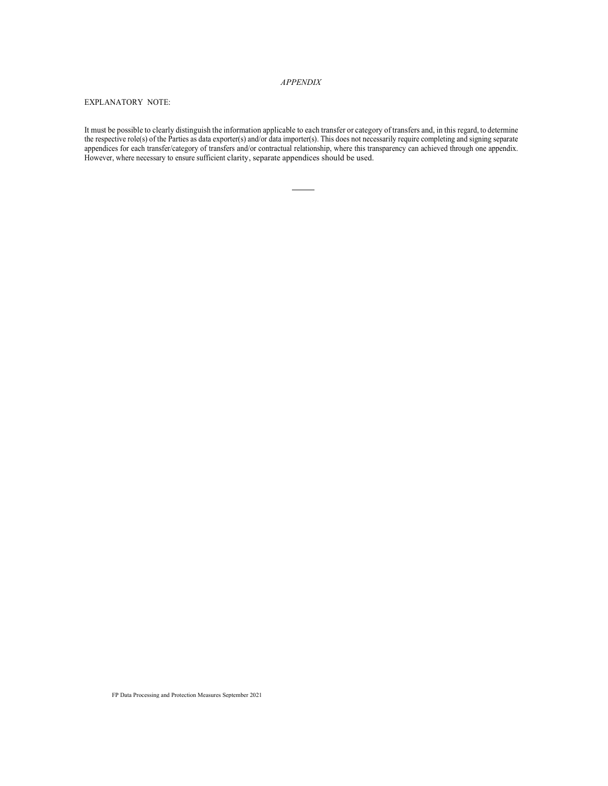# APPENDIX

## EXPLANATORY NOTE:

It must be possible to clearly distinguish the information applicable to each transfer or category of transfers and, in this regard, to determine the respective role(s) of the Parties as data exporter(s) and/or data importer(s). This does not necessarily require completing and signing separate appendices for each transfer/category of transfers and/or contractual relationship, where this transparency can achieved through one appendix. However, where necessary to ensure sufficient clarity, separate appendices should be used.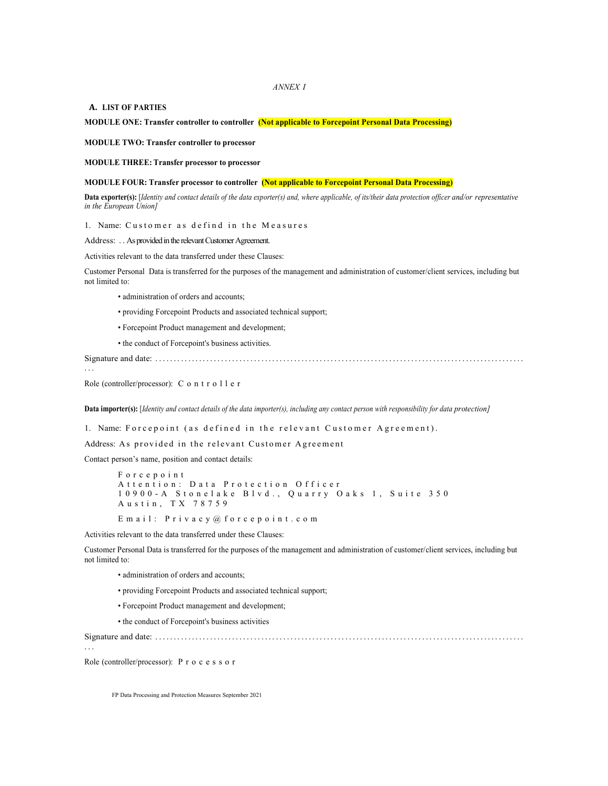#### ANNEX I

### A. LIST OF PARTIES

MODULE ONE: Transfer controller to controller (Not applicable to Forcepoint Personal Data Processing)

MODULE TWO: Transfer controller to processor

MODULE THREE: Transfer processor to processor

MODULE FOUR: Transfer processor to controller (Not applicable to Forcepoint Personal Data Processing)

Data exporter(s): [Identity and contact details of the data exporter(s) and, where applicable, of its/their data protection officer and/or representative in the European Union]

Address: . . As provided in the relevant Customer Agreement.

Activities relevant to the data transferred under these Clauses:

1. VATA AND ANTILES<br>
1. THE SECT OF PARTIES<br>
1. NAMELY ONE: Transfer controller to controller (Not applicable to Forcepoint Personal Data Processing)<br>
MODULE FUNCE: Transfer processor to controller (Not applicable to Force Customer Personal Data is transferred for the purposes of the management and administration of customer/client services, including but not limited to: **MODULE FOUR: Trunsfer processor to controller (Not applicable to Forespoint Personal Data Processing)**<br>
Dut to apportune (*leading out control and of the data exporter)) and, where applicable, of ixitheir data protection* 

- administration of orders and accounts;
- providing Forcepoint Products and associated technical support;
- Forcepoint Product management and development;
- the conduct of Forcepoint's business activities.

Signature and date: . . . . . . . . . . . . . . . . . . . . . . . . . . . . . . . . . . . . . . . . . . . . . . . . . . . . . . . . . . . . . . . . . . . . . . . . . . . . . . . . . . . . . . . . . . . . . . . . . . . . . . . .

Role (controller/processor): C o n t r o l l e r

Data importer(s): [Identity and contact details of the data importer(s), including any contact person with responsibility for data protection]

Contact person's name, position and contact details:

**Dut synter(s):** [*Mentity* and content details of the data expertent) and, where applicable, of its blanch case procession of fice and/or representative to the details of the data response of the state process and a stat F o r c e p o i n t Attention: Data Protection Officer 10900 - A Stonelake Blvd., Quarry Oaks 1, Suite 350 Austin, TX 78759 Email: Privacy@forcepoint.com

Activities relevant to the data transferred under these Clauses:

Customer Personal Data is transferred for the purposes of the management and administration of customer/client services, including but not limited to:

- administration of orders and accounts;
- providing Forcepoint Products and associated technical support;
- Forcepoint Product management and development;
- the conduct of Forcepoint's business activities

Signature and date: . . . . . . . . . . . . . . . . . . . . . . . . . . . . . . . . . . . . . . . . . . . . . . . . . . . . . . . . . . . . . . . . . . . . . . . . . . . . . . . . . . . . . . . . . . . . . . . . . . . . . . . .

Role (controller/processor): P r o c e s s o r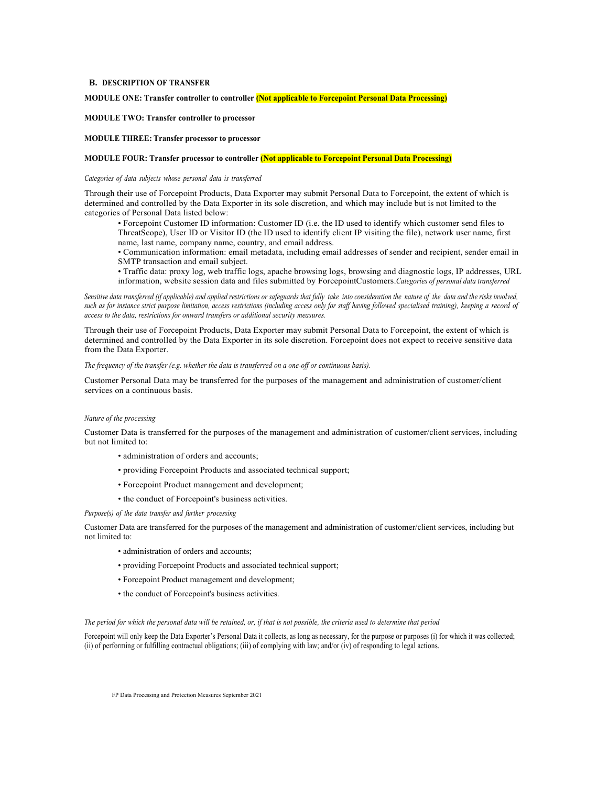## B. DESCRIPTION OF TRANSFER

## MODULE ONE: Transfer controller to controller (Not applicable to Forcepoint Personal Data Processing)

# MODULE TWO: Transfer controller to processor

MODULE THREE: Transfer processor to processor

#### MODULE FOUR: Transfer processor to controller (Not applicable to Forcepoint Personal Data Processing)

## Categories of data subjects whose personal data is transferred

Through their use of Forcepoint Products, Data Exporter may submit Personal Data to Forcepoint, the extent of which is determined and controlled by the Data Exporter in its sole discretion, and which may include but is not limited to the categories of Personal Data listed below:

• Forcepoint Customer ID information: Customer ID (i.e. the ID used to identify which customer send files to ThreatScope), User ID or Visitor ID (the ID used to identify client IP visiting the file), network user name, first name, last name, company name, country, and email address.

• Communication information: email metadata, including email addresses of sender and recipient, sender email in SMTP transaction and email subject.

• Traffic data: proxy log, web traffic logs, apache browsing logs, browsing and diagnostic logs, IP addresses, URL information, website session data and files submitted by ForcepointCustomers.Categories of personal data transferred

Sensitive data transferred (if applicable) and applied restrictions or safeguards that fully take into consideration the nature of the data and the risks involved, such as for instance strict purpose limitation, access restrictions (including access only for staff having followed specialised training), keeping a record of access to the data, restrictions for onward transfers or additional security measures.

Through their use of Forcepoint Products, Data Exporter may submit Personal Data to Forcepoint, the extent of which is determined and controlled by the Data Exporter in its sole discretion. Forcepoint does not expect to receive sensitive data from the Data Exporter.

## The frequency of the transfer (e.g. whether the data is transferred on a one-off or continuous basis).

Customer Personal Data may be transferred for the purposes of the management and administration of customer/client services on a continuous basis.

# Nature of the processing

Customer Data is transferred for the purposes of the management and administration of customer/client services, including but not limited to:

- administration of orders and accounts;
- providing Forcepoint Products and associated technical support;
- Forcepoint Product management and development;
- the conduct of Forcepoint's business activities.

#### Purpose(s) of the data transfer and further processing

Customer Data are transferred for the purposes of the management and administration of customer/client services, including but not limited to:

- administration of orders and accounts;
- providing Forcepoint Products and associated technical support;
- Forcepoint Product management and development;
- the conduct of Forcepoint's business activities.

The period for which the personal data will be retained, or, if that is not possible, the criteria used to determine that period

Forcepoint will only keep the Data Exporter's Personal Data it collects, as long as necessary, for the purpose or purposes (i) for which it was collected; (ii) of performing or fulfilling contractual obligations; (iii) of complying with law; and/or (iv) of responding to legal actions.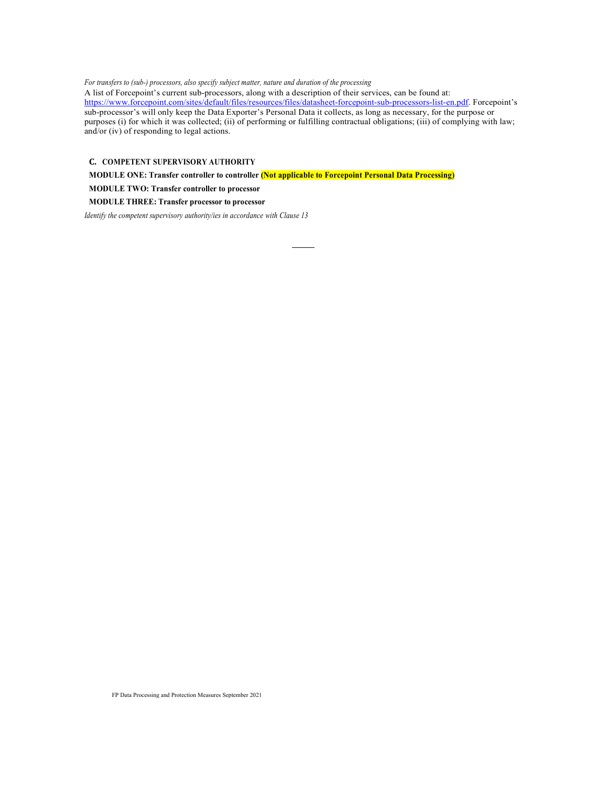For transfers to (sub-) processors, also specify subject matter, nature and duration of the processing A list of Forcepoint's current sub-processors, along with a description of their services, can be found at: https://www.forcepoint.com/sites/default/files/resources/files/datasheet-forcepoint-sub-processors-list-en.pdf. Forcepoint's sub-processor's will only keep the Data Exporter's Personal Data it collects, as long as necessary, for the purpose or purposes (i) for which it was collected; (ii) of performing or fulfilling contractual obligations; (iii) of complying with law; and/or (iv) of responding to legal actions.

# C. COMPETENT SUPERVISORY AUTHORITY

MODULE ONE: Transfer controller to controller (Not applicable to Forcepoint Personal Data Processing)

# MODULE TWO: Transfer controller to processor

MODULE THREE: Transfer processor to processor

Identify the competent supervisory authority/ies in accordance with Clause 13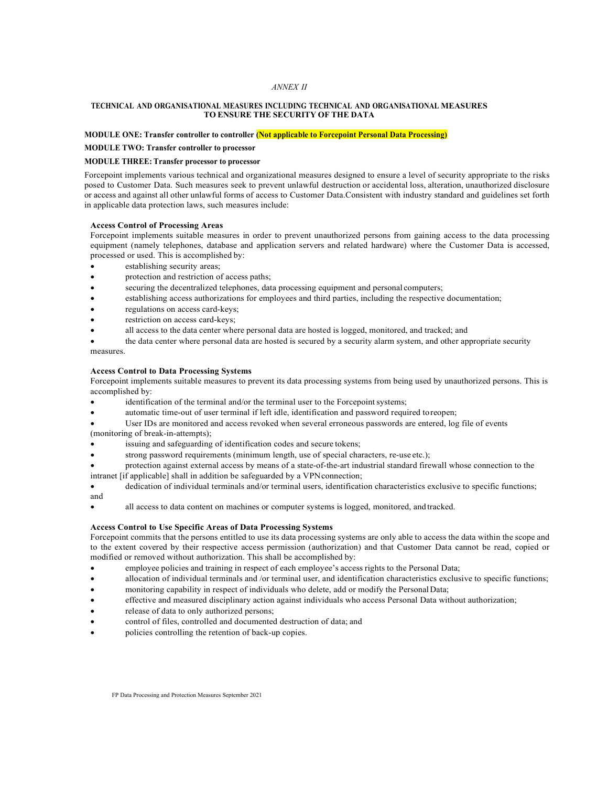## ANNEX II

## TECHNICAL AND ORGANISATIONAL MEASURES INCLUDING TECHNICAL AND ORGANISATIONAL MEASURES TO ENSURE THE SECURITY OF THE DATA

## MODULE ONE: Transfer controller to controller (Not applicable to Forcepoint Personal Data Processing)

### MODULE TWO: Transfer controller to processor

## MODULE THREE: Transfer processor to processor

Forcepoint implements various technical and organizational measures designed to ensure a level of security appropriate to the risks posed to Customer Data. Such measures seek to prevent unlawful destruction or accidental loss, alteration, unauthorized disclosure or access and against all other unlawful forms of access to Customer Data.Consistent with industry standard and guidelines set forth in applicable data protection laws, such measures include:

### Access Control of Processing Areas

Forcepoint implements suitable measures in order to prevent unauthorized persons from gaining access to the data processing equipment (namely telephones, database and application servers and related hardware) where the Customer Data is accessed, processed or used. This is accomplished by:

- establishing security areas;
- protection and restriction of access paths;
- securing the decentralized telephones, data processing equipment and personal computers;
- establishing access authorizations for employees and third parties, including the respective documentation;
- regulations on access card-keys;
- restriction on access card-keys;
- all access to the data center where personal data are hosted is logged, monitored, and tracked; and

the data center where personal data are hosted is secured by a security alarm system, and other appropriate security measures.

#### Access Control to Data Processing Systems

Forcepoint implements suitable measures to prevent its data processing systems from being used by unauthorized persons. This is accomplished by:

- identification of the terminal and/or the terminal user to the Forcepoint systems;
- automatic time-out of user terminal if left idle, identification and password required to reopen;

 User IDs are monitored and access revoked when several erroneous passwords are entered, log file of events (monitoring of break-in-attempts);

- issuing and safeguarding of identification codes and secure tokens;
- strong password requirements (minimum length, use of special characters, re-use etc.);
- protection against external access by means of a state-of-the-art industrial standard firewall whose connection to the intranet [if applicable] shall in addition be safeguarded by a VPN connection;

 dedication of individual terminals and/or terminal users, identification characteristics exclusive to specific functions; and

- 
- all access to data content on machines or computer systems is logged, monitored, and tracked.

## Access Control to Use Specific Areas of Data Processing Systems

Forcepoint commits that the persons entitled to use its data processing systems are only able to access the data within the scope and to the extent covered by their respective access permission (authorization) and that Customer Data cannot be read, copied or modified or removed without authorization. This shall be accomplished by:

- employee policies and training in respect of each employee's access rights to the Personal Data;
- allocation of individual terminals and /or terminal user, and identification characteristics exclusive to specific functions;
- monitoring capability in respect of individuals who delete, add or modify the Personal Data;
- effective and measured disciplinary action against individuals who access Personal Data without authorization;
- release of data to only authorized persons;
- control of files, controlled and documented destruction of data; and
- policies controlling the retention of back-up copies.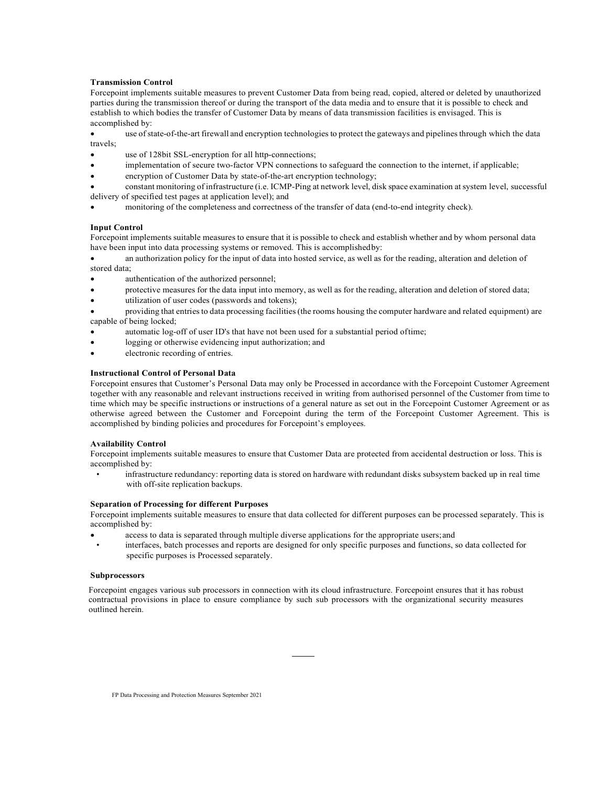## Transmission Control

Forcepoint implements suitable measures to prevent Customer Data from being read, copied, altered or deleted by unauthorized parties during the transmission thereof or during the transport of the data media and to ensure that it is possible to check and establish to which bodies the transfer of Customer Data by means of data transmission facilities is envisaged. This is accomplished by:

 use of state-of-the-art firewall and encryption technologies to protect the gateways and pipelines through which the data travels;

- use of 128bit SSL-encryption for all http-connections;
- implementation of secure two-factor VPN connections to safeguard the connection to the internet, if applicable;
- encryption of Customer Data by state-of-the-art encryption technology;
- constant monitoring of infrastructure (i.e. ICMP-Ping at network level, disk space examination at system level, successful delivery of specified test pages at application level); and
- monitoring of the completeness and correctness of the transfer of data (end-to-end integrity check).

## Input Control

Forcepoint implements suitable measures to ensure that it is possible to check and establish whether and by whom personal data have been input into data processing systems or removed. This is accomplished by:

 an authorization policy for the input of data into hosted service, as well as for the reading, alteration and deletion of stored data;

- authentication of the authorized personnel;
- protective measures for the data input into memory, as well as for the reading, alteration and deletion of stored data;
- utilization of user codes (passwords and tokens);

 providing that entries to data processing facilities (the rooms housing the computer hardware and related equipment) are capable of being locked;

- automatic log-off of user ID's that have not been used for a substantial period of time;
- logging or otherwise evidencing input authorization; and
- electronic recording of entries.

## Instructional Control of Personal Data

Forcepoint ensures that Customer's Personal Data may only be Processed in accordance with the Forcepoint Customer Agreement together with any reasonable and relevant instructions received in writing from authorised personnel of the Customer from time to time which may be specific instructions or instructions of a general nature as set out in the Forcepoint Customer Agreement or as otherwise agreed between the Customer and Forcepoint during the term of the Forcepoint Customer Agreement. This is accomplished by binding policies and procedures for Forcepoint's employees.

## Availability Control

Forcepoint implements suitable measures to ensure that Customer Data are protected from accidental destruction or loss. This is accomplished by:

• infrastructure redundancy: reporting data is stored on hardware with redundant disks subsystem backed up in real time with off-site replication backups.

#### Separation of Processing for different Purposes

Forcepoint implements suitable measures to ensure that data collected for different purposes can be processed separately. This is accomplished by:

- access to data is separated through multiple diverse applications for the appropriate users; and
- interfaces, batch processes and reports are designed for only specific purposes and functions, so data collected for specific purposes is Processed separately.

#### Subprocessors

Forcepoint engages various sub processors in connection with its cloud infrastructure. Forcepoint ensures that it has robust contractual provisions in place to ensure compliance by such sub processors with the organizational security measures outlined herein.